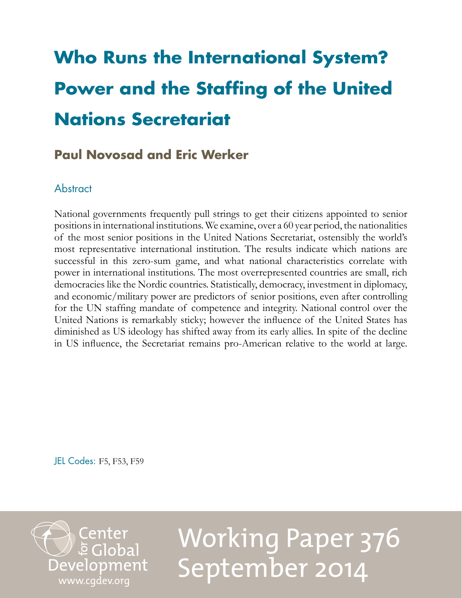# **Who Runs the International System? Power and the Staffing of the United Nations Secretariat**

## **Paul Novosad and Eric Werker**

## **Abstract**

National governments frequently pull strings to get their citizens appointed to senior positions in international institutions. We examine, over a 60 year period, the nationalities of the most senior positions in the United Nations Secretariat, ostensibly the world's most representative international institution. The results indicate which nations are successful in this zero-sum game, and what national characteristics correlate with power in international institutions. The most overrepresented countries are small, rich democracies like the Nordic countries. Statistically, democracy, investment in diplomacy, and economic/military power are predictors of senior positions, even after controlling for the UN staffing mandate of competence and integrity. National control over the United Nations is remarkably sticky; however the influence of the United States has diminished as US ideology has shifted away from its early allies. In spite of the decline in US influence, the Secretariat remains pro-American relative to the world at large.

JEL Codes: F5, F53, F59



Working Paper 376 September 2014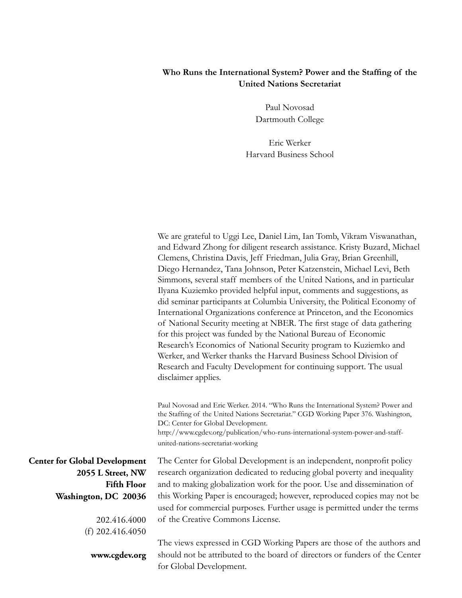#### **Who Runs the International System? Power and the Staffing of the United Nations Secretariat**

Paul Novosad Dartmouth College

Eric Werker Harvard Business School

We are grateful to Uggi Lee, Daniel Lim, Ian Tomb, Vikram Viswanathan, and Edward Zhong for diligent research assistance. Kristy Buzard, Michael Clemens, Christina Davis, Jeff Friedman, Julia Gray, Brian Greenhill, Diego Hernandez, Tana Johnson, Peter Katzenstein, Michael Levi, Beth Simmons, several staff members of the United Nations, and in particular Ilyana Kuziemko provided helpful input, comments and suggestions, as did seminar participants at Columbia University, the Political Economy of International Organizations conference at Princeton, and the Economics of National Security meeting at NBER. The first stage of data gathering for this project was funded by the National Bureau of Economic Research's Economics of National Security program to Kuziemko and Werker, and Werker thanks the Harvard Business School Division of Research and Faculty Development for continuing support. The usual disclaimer applies.

Paul Novosad and Eric Werker. 2014. "Who Runs the International System? Power and the Staffing of the United Nations Secretariat." CGD Working Paper 376. Washington, DC: Center for Global Development. http://www.cgdev.org/publication/who-runs-international-system-power-and-staffunited-nations-secretariat-working

**Center for Global Development 2055 L Street, NW Fifth Floor Washington, DC 20036**

> 202.416.4000 (f) 202.416.4050

**www.cgdev.org**

The Center for Global Development is an independent, nonprofit policy research organization dedicated to reducing global poverty and inequality and to making globalization work for the poor. Use and dissemination of this Working Paper is encouraged; however, reproduced copies may not be used for commercial purposes. Further usage is permitted under the terms of the Creative Commons License.

The views expressed in CGD Working Papers are those of the authors and should not be attributed to the board of directors or funders of the Center for Global Development.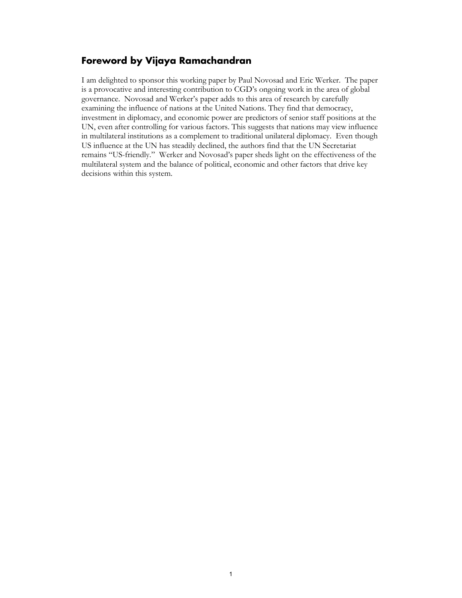#### **Foreword by Vijaya Ramachandran**

I am delighted to sponsor this working paper by Paul Novosad and Eric Werker. The paper is a provocative and interesting contribution to CGD's ongoing work in the area of global governance. Novosad and Werker's paper adds to this area of research by carefully examining the influence of nations at the United Nations. They find that democracy, investment in diplomacy, and economic power are predictors of senior staff positions at the UN, even after controlling for various factors. This suggests that nations may view influence in multilateral institutions as a complement to traditional unilateral diplomacy. Even though US influence at the UN has steadily declined, the authors find that the UN Secretariat remains "US-friendly." Werker and Novosad's paper sheds light on the effectiveness of the multilateral system and the balance of political, economic and other factors that drive key decisions within this system.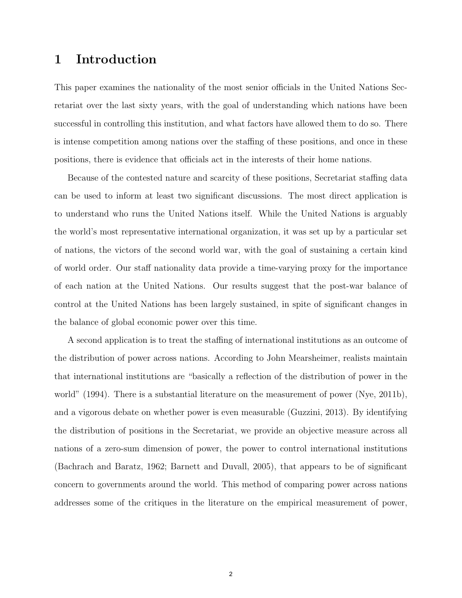## 1 Introduction

This paper examines the nationality of the most senior officials in the United Nations Secretariat over the last sixty years, with the goal of understanding which nations have been successful in controlling this institution, and what factors have allowed them to do so. There is intense competition among nations over the staffing of these positions, and once in these positions, there is evidence that officials act in the interests of their home nations.

Because of the contested nature and scarcity of these positions, Secretariat staffing data can be used to inform at least two significant discussions. The most direct application is to understand who runs the United Nations itself. While the United Nations is arguably the world's most representative international organization, it was set up by a particular set of nations, the victors of the second world war, with the goal of sustaining a certain kind of world order. Our staff nationality data provide a time-varying proxy for the importance of each nation at the United Nations. Our results suggest that the post-war balance of control at the United Nations has been largely sustained, in spite of significant changes in the balance of global economic power over this time.

A second application is to treat the staffing of international institutions as an outcome of the distribution of power across nations. According to John Mearsheimer, realists maintain that international institutions are "basically a reflection of the distribution of power in the world" (1994). There is a substantial literature on the measurement of power (Nye, 2011b), and a vigorous debate on whether power is even measurable (Guzzini, 2013). By identifying the distribution of positions in the Secretariat, we provide an objective measure across all nations of a zero-sum dimension of power, the power to control international institutions (Bachrach and Baratz, 1962; Barnett and Duvall, 2005), that appears to be of significant concern to governments around the world. This method of comparing power across nations addresses some of the critiques in the literature on the empirical measurement of power,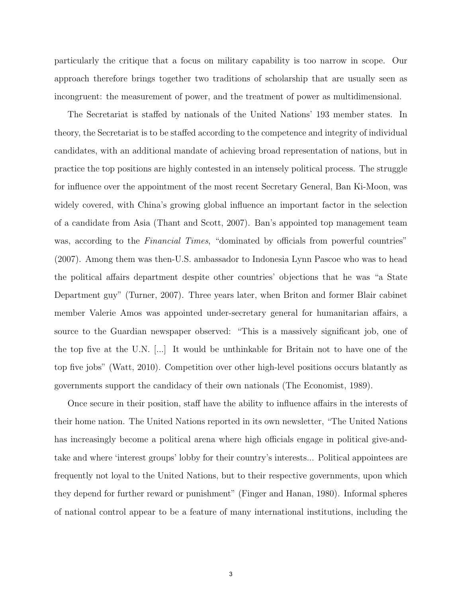particularly the critique that a focus on military capability is too narrow in scope. Our approach therefore brings together two traditions of scholarship that are usually seen as incongruent: the measurement of power, and the treatment of power as multidimensional.

The Secretariat is staffed by nationals of the United Nations' 193 member states. In theory, the Secretariat is to be staffed according to the competence and integrity of individual candidates, with an additional mandate of achieving broad representation of nations, but in practice the top positions are highly contested in an intensely political process. The struggle for influence over the appointment of the most recent Secretary General, Ban Ki-Moon, was widely covered, with China's growing global influence an important factor in the selection of a candidate from Asia (Thant and Scott, 2007). Ban's appointed top management team was, according to the *Financial Times*, "dominated by officials from powerful countries" (2007). Among them was then-U.S. ambassador to Indonesia Lynn Pascoe who was to head the political affairs department despite other countries' objections that he was "a State Department guy" (Turner, 2007). Three years later, when Briton and former Blair cabinet member Valerie Amos was appointed under-secretary general for humanitarian affairs, a source to the Guardian newspaper observed: "This is a massively significant job, one of the top five at the U.N. [...] It would be unthinkable for Britain not to have one of the top five jobs" (Watt, 2010). Competition over other high-level positions occurs blatantly as governments support the candidacy of their own nationals (The Economist, 1989).

Once secure in their position, staff have the ability to influence affairs in the interests of their home nation. The United Nations reported in its own newsletter, "The United Nations has increasingly become a political arena where high officials engage in political give-andtake and where 'interest groups' lobby for their country's interests... Political appointees are frequently not loyal to the United Nations, but to their respective governments, upon which they depend for further reward or punishment" (Finger and Hanan, 1980). Informal spheres of national control appear to be a feature of many international institutions, including the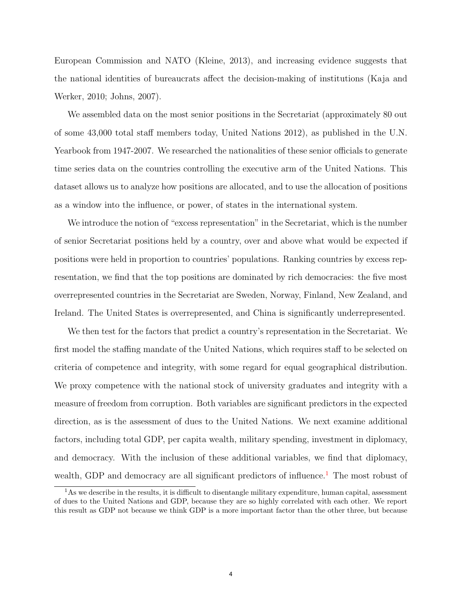European Commission and NATO (Kleine, 2013), and increasing evidence suggests that the national identities of bureaucrats affect the decision-making of institutions (Kaja and Werker, 2010; Johns, 2007).

We assembled data on the most senior positions in the Secretariat (approximately 80 out of some 43,000 total staff members today, United Nations 2012), as published in the U.N. Yearbook from 1947-2007. We researched the nationalities of these senior officials to generate time series data on the countries controlling the executive arm of the United Nations. This dataset allows us to analyze how positions are allocated, and to use the allocation of positions as a window into the influence, or power, of states in the international system.

We introduce the notion of "excess representation" in the Secretariat, which is the number of senior Secretariat positions held by a country, over and above what would be expected if positions were held in proportion to countries' populations. Ranking countries by excess representation, we find that the top positions are dominated by rich democracies: the five most overrepresented countries in the Secretariat are Sweden, Norway, Finland, New Zealand, and Ireland. The United States is overrepresented, and China is significantly underrepresented.

We then test for the factors that predict a country's representation in the Secretariat. We first model the staffing mandate of the United Nations, which requires staff to be selected on criteria of competence and integrity, with some regard for equal geographical distribution. We proxy competence with the national stock of university graduates and integrity with a measure of freedom from corruption. Both variables are significant predictors in the expected direction, as is the assessment of dues to the United Nations. We next examine additional factors, including total GDP, per capita wealth, military spending, investment in diplomacy, and democracy. With the inclusion of these additional variables, we find that diplomacy, wealth, GDP and democracy are all significant predictors of influence.<sup>[1](#page-5-0)</sup> The most robust of

<span id="page-5-0"></span><sup>1</sup>As we describe in the results, it is difficult to disentangle military expenditure, human capital, assessment of dues to the United Nations and GDP, because they are so highly correlated with each other. We report this result as GDP not because we think GDP is a more important factor than the other three, but because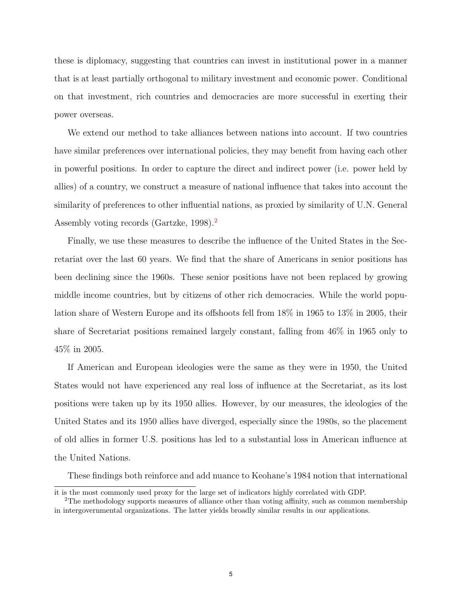these is diplomacy, suggesting that countries can invest in institutional power in a manner that is at least partially orthogonal to military investment and economic power. Conditional on that investment, rich countries and democracies are more successful in exerting their power overseas.

We extend our method to take alliances between nations into account. If two countries have similar preferences over international policies, they may benefit from having each other in powerful positions. In order to capture the direct and indirect power (i.e. power held by allies) of a country, we construct a measure of national influence that takes into account the similarity of preferences to other influential nations, as proxied by similarity of U.N. General Assembly voting records (Gartzke, 1998).<sup>[2](#page-6-0)</sup>

Finally, we use these measures to describe the influence of the United States in the Secretariat over the last 60 years. We find that the share of Americans in senior positions has been declining since the 1960s. These senior positions have not been replaced by growing middle income countries, but by citizens of other rich democracies. While the world population share of Western Europe and its offshoots fell from 18% in 1965 to 13% in 2005, their share of Secretariat positions remained largely constant, falling from 46% in 1965 only to 45% in 2005.

If American and European ideologies were the same as they were in 1950, the United States would not have experienced any real loss of influence at the Secretariat, as its lost positions were taken up by its 1950 allies. However, by our measures, the ideologies of the United States and its 1950 allies have diverged, especially since the 1980s, so the placement of old allies in former U.S. positions has led to a substantial loss in American influence at the United Nations.

These findings both reinforce and add nuance to Keohane's 1984 notion that international

it is the most commonly used proxy for the large set of indicators highly correlated with GDP.

<span id="page-6-0"></span><sup>&</sup>lt;sup>2</sup>The methodology supports measures of alliance other than voting affinity, such as common membership in intergovernmental organizations. The latter yields broadly similar results in our applications.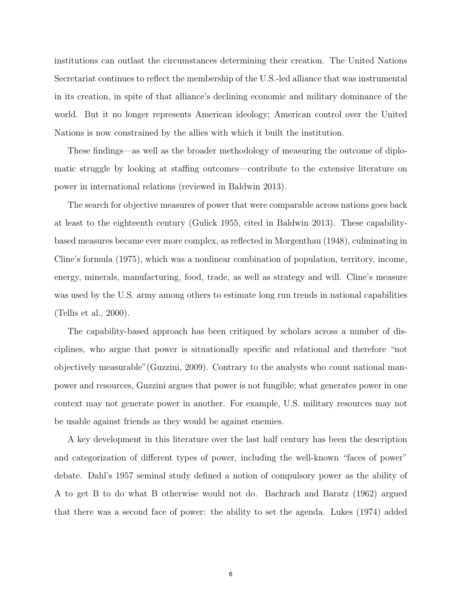institutions can outlast the circumstances determining their creation. The United Nations Secretariat continues to reflect the membership of the U.S.-led alliance that was instrumental in its creation, in spite of that alliance's declining economic and military dominance of the world. But it no longer represents American ideology; American control over the United Nations is now constrained by the allies with which it built the institution.

These findings—as well as the broader methodology of measuring the outcome of diplomatic struggle by looking at staffing outcomes—contribute to the extensive literature on power in international relations (reviewed in Baldwin 2013).

The search for objective measures of power that were comparable across nations goes back at least to the eighteenth century (Gulick 1955, cited in Baldwin 2013). These capabilitybased measures became ever more complex, as reflected in Morgenthau (1948), culminating in Cline's formula (1975), which was a nonlinear combination of population, territory, income, energy, minerals, manufacturing, food, trade, as well as strategy and will. Cline's measure was used by the U.S. army among others to estimate long run trends in national capabilities (Tellis et al., 2000).

The capability-based approach has been critiqued by scholars across a number of disciplines, who argue that power is situationally specific and relational and therefore "not objectively measurable"(Guzzini, 2009). Contrary to the analysts who count national manpower and resources, Guzzini argues that power is not fungible; what generates power in one context may not generate power in another. For example, U.S. military resources may not be usable against friends as they would be against enemies.

A key development in this literature over the last half century has been the description and categorization of different types of power, including the well-known "faces of power" debate. Dahl's 1957 seminal study defined a notion of compulsory power as the ability of A to get B to do what B otherwise would not do. Bachrach and Baratz (1962) argued that there was a second face of power: the ability to set the agenda. Lukes (1974) added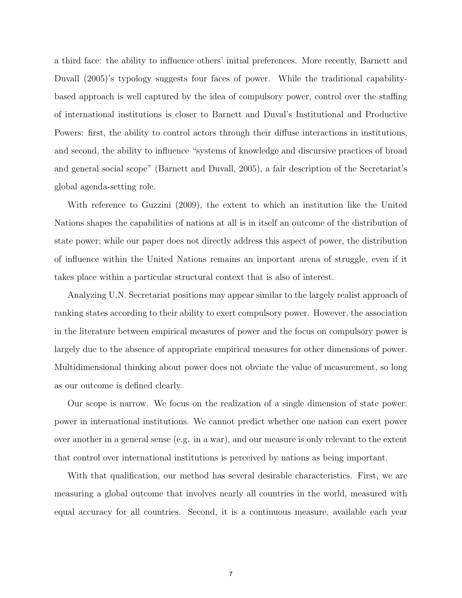a third face: the ability to influence others' initial preferences. More recently, Barnett and Duvall (2005)'s typology suggests four faces of power. While the traditional capabilitybased approach is well captured by the idea of compulsory power, control over the staffing of international institutions is closer to Barnett and Duval's Institutional and Productive Powers: first, the ability to control actors through their diffuse interactions in institutions, and second, the ability to influence "systems of knowledge and discursive practices of broad and general social scope" (Barnett and Duvall, 2005), a fair description of the Secretariat's global agenda-setting role.

With reference to Guzzini (2009), the extent to which an institution like the United Nations shapes the capabilities of nations at all is in itself an outcome of the distribution of state power; while our paper does not directly address this aspect of power, the distribution of influence within the United Nations remains an important arena of struggle, even if it takes place within a particular structural context that is also of interest.

Analyzing U.N. Secretariat positions may appear similar to the largely realist approach of ranking states according to their ability to exert compulsory power. However, the association in the literature between empirical measures of power and the focus on compulsory power is largely due to the absence of appropriate empirical measures for other dimensions of power. Multidimensional thinking about power does not obviate the value of measurement, so long as our outcome is defined clearly.

Our scope is narrow. We focus on the realization of a single dimension of state power: power in international institutions. We cannot predict whether one nation can exert power over another in a general sense (e.g. in a war), and our measure is only relevant to the extent that control over international institutions is perceived by nations as being important.

With that qualification, our method has several desirable characteristics. First, we are measuring a global outcome that involves nearly all countries in the world, measured with equal accuracy for all countries. Second, it is a continuous measure, available each year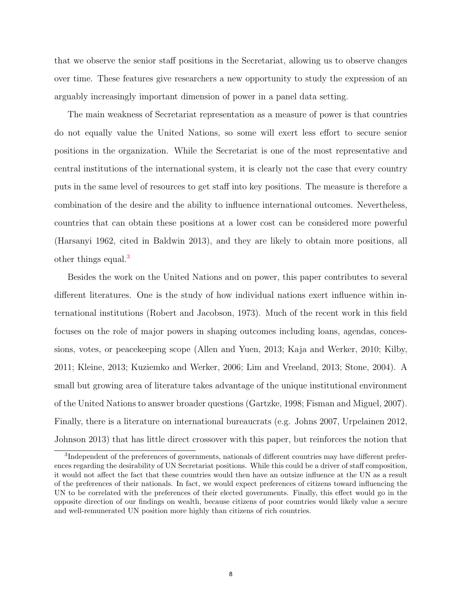that we observe the senior staff positions in the Secretariat, allowing us to observe changes over time. These features give researchers a new opportunity to study the expression of an arguably increasingly important dimension of power in a panel data setting.

The main weakness of Secretariat representation as a measure of power is that countries do not equally value the United Nations, so some will exert less effort to secure senior positions in the organization. While the Secretariat is one of the most representative and central institutions of the international system, it is clearly not the case that every country puts in the same level of resources to get staff into key positions. The measure is therefore a combination of the desire and the ability to influence international outcomes. Nevertheless, countries that can obtain these positions at a lower cost can be considered more powerful (Harsanyi 1962, cited in Baldwin 2013), and they are likely to obtain more positions, all other things equal.<sup>[3](#page-9-0)</sup>

Besides the work on the United Nations and on power, this paper contributes to several different literatures. One is the study of how individual nations exert influence within international institutions (Robert and Jacobson, 1973). Much of the recent work in this field focuses on the role of major powers in shaping outcomes including loans, agendas, concessions, votes, or peacekeeping scope (Allen and Yuen, 2013; Kaja and Werker, 2010; Kilby, 2011; Kleine, 2013; Kuziemko and Werker, 2006; Lim and Vreeland, 2013; Stone, 2004). A small but growing area of literature takes advantage of the unique institutional environment of the United Nations to answer broader questions (Gartzke, 1998; Fisman and Miguel, 2007). Finally, there is a literature on international bureaucrats (e.g. Johns 2007, Urpelainen 2012, Johnson 2013) that has little direct crossover with this paper, but reinforces the notion that

<span id="page-9-0"></span><sup>&</sup>lt;sup>3</sup>Independent of the preferences of governments, nationals of different countries may have different preferences regarding the desirability of UN Secretariat positions. While this could be a driver of staff composition, it would not affect the fact that these countries would then have an outsize influence at the UN as a result of the preferences of their nationals. In fact, we would expect preferences of citizens toward influencing the UN to be correlated with the preferences of their elected governments. Finally, this effect would go in the opposite direction of our findings on wealth, because citizens of poor countries would likely value a secure and well-remunerated UN position more highly than citizens of rich countries.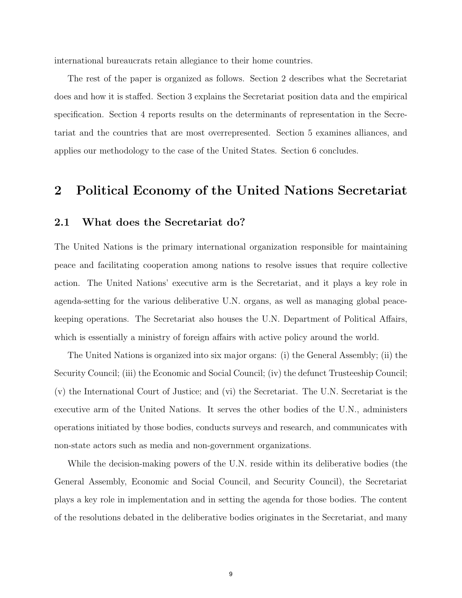international bureaucrats retain allegiance to their home countries.

The rest of the paper is organized as follows. Section 2 describes what the Secretariat does and how it is staffed. Section 3 explains the Secretariat position data and the empirical specification. Section 4 reports results on the determinants of representation in the Secretariat and the countries that are most overrepresented. Section 5 examines alliances, and applies our methodology to the case of the United States. Section 6 concludes.

### 2 Political Economy of the United Nations Secretariat

#### 2.1 What does the Secretariat do?

The United Nations is the primary international organization responsible for maintaining peace and facilitating cooperation among nations to resolve issues that require collective action. The United Nations' executive arm is the Secretariat, and it plays a key role in agenda-setting for the various deliberative U.N. organs, as well as managing global peacekeeping operations. The Secretariat also houses the U.N. Department of Political Affairs, which is essentially a ministry of foreign affairs with active policy around the world.

The United Nations is organized into six major organs: (i) the General Assembly; (ii) the Security Council; (iii) the Economic and Social Council; (iv) the defunct Trusteeship Council; (v) the International Court of Justice; and (vi) the Secretariat. The U.N. Secretariat is the executive arm of the United Nations. It serves the other bodies of the U.N., administers operations initiated by those bodies, conducts surveys and research, and communicates with non-state actors such as media and non-government organizations.

While the decision-making powers of the U.N. reside within its deliberative bodies (the General Assembly, Economic and Social Council, and Security Council), the Secretariat plays a key role in implementation and in setting the agenda for those bodies. The content of the resolutions debated in the deliberative bodies originates in the Secretariat, and many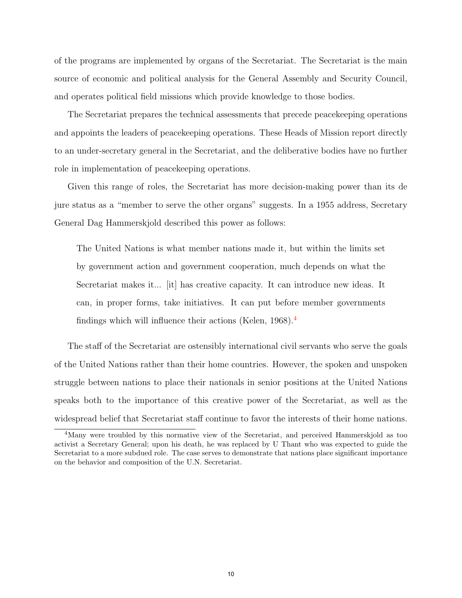of the programs are implemented by organs of the Secretariat. The Secretariat is the main source of economic and political analysis for the General Assembly and Security Council, and operates political field missions which provide knowledge to those bodies.

The Secretariat prepares the technical assessments that precede peacekeeping operations and appoints the leaders of peacekeeping operations. These Heads of Mission report directly to an under-secretary general in the Secretariat, and the deliberative bodies have no further role in implementation of peacekeeping operations.

Given this range of roles, the Secretariat has more decision-making power than its de jure status as a "member to serve the other organs" suggests. In a 1955 address, Secretary General Dag Hammerskjold described this power as follows:

The United Nations is what member nations made it, but within the limits set by government action and government cooperation, much depends on what the Secretariat makes it... [it] has creative capacity. It can introduce new ideas. It can, in proper forms, take initiatives. It can put before member governments findings which will influence their actions (Kelen, 1968).[4](#page-11-0)

The staff of the Secretariat are ostensibly international civil servants who serve the goals of the United Nations rather than their home countries. However, the spoken and unspoken struggle between nations to place their nationals in senior positions at the United Nations speaks both to the importance of this creative power of the Secretariat, as well as the widespread belief that Secretariat staff continue to favor the interests of their home nations.

<span id="page-11-0"></span><sup>4</sup>Many were troubled by this normative view of the Secretariat, and perceived Hammerskjold as too activist a Secretary General; upon his death, he was replaced by U Thant who was expected to guide the Secretariat to a more subdued role. The case serves to demonstrate that nations place significant importance on the behavior and composition of the U.N. Secretariat.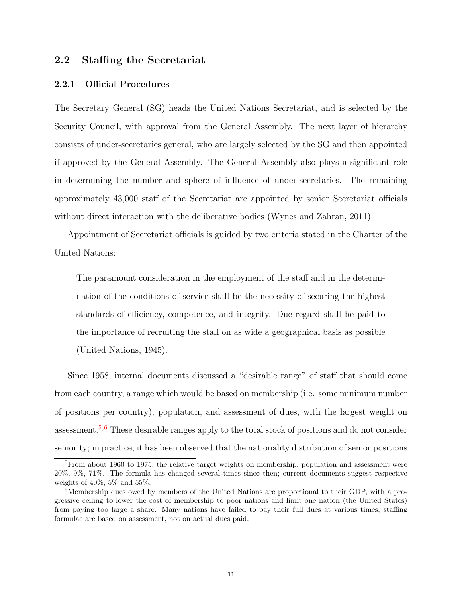#### 2.2 Staffing the Secretariat

#### <span id="page-12-2"></span>2.2.1 Official Procedures

The Secretary General (SG) heads the United Nations Secretariat, and is selected by the Security Council, with approval from the General Assembly. The next layer of hierarchy consists of under-secretaries general, who are largely selected by the SG and then appointed if approved by the General Assembly. The General Assembly also plays a significant role in determining the number and sphere of influence of under-secretaries. The remaining approximately 43,000 staff of the Secretariat are appointed by senior Secretariat officials without direct interaction with the deliberative bodies (Wynes and Zahran, 2011).

Appointment of Secretariat officials is guided by two criteria stated in the Charter of the United Nations:

The paramount consideration in the employment of the staff and in the determination of the conditions of service shall be the necessity of securing the highest standards of efficiency, competence, and integrity. Due regard shall be paid to the importance of recruiting the staff on as wide a geographical basis as possible (United Nations, 1945).

Since 1958, internal documents discussed a "desirable range" of staff that should come from each country, a range which would be based on membership (i.e. some minimum number of positions per country), population, and assessment of dues, with the largest weight on assessment.[5,](#page-12-0)[6](#page-12-1) These desirable ranges apply to the total stock of positions and do not consider seniority; in practice, it has been observed that the nationality distribution of senior positions

<span id="page-12-0"></span> $5$ From about 1960 to 1975, the relative target weights on membership, population and assessment were 20%, 9%, 71%. The formula has changed several times since then; current documents suggest respective weights of 40%, 5% and 55%.

<span id="page-12-1"></span><sup>&</sup>lt;sup>6</sup>Membership dues owed by members of the United Nations are proportional to their GDP, with a progressive ceiling to lower the cost of membership to poor nations and limit one nation (the United States) from paying too large a share. Many nations have failed to pay their full dues at various times; staffing formulae are based on assessment, not on actual dues paid.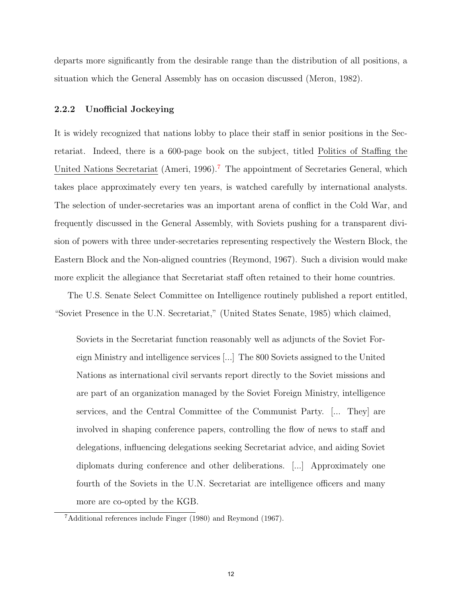departs more significantly from the desirable range than the distribution of all positions, a situation which the General Assembly has on occasion discussed (Meron, 1982).

#### 2.2.2 Unofficial Jockeying

It is widely recognized that nations lobby to place their staff in senior positions in the Secretariat. Indeed, there is a 600-page book on the subject, titled Politics of Staffing the United Nations Secretariat (Ameri, 1996).<sup>[7](#page-13-0)</sup> The appointment of Secretaries General, which takes place approximately every ten years, is watched carefully by international analysts. The selection of under-secretaries was an important arena of conflict in the Cold War, and frequently discussed in the General Assembly, with Soviets pushing for a transparent division of powers with three under-secretaries representing respectively the Western Block, the Eastern Block and the Non-aligned countries (Reymond, 1967). Such a division would make more explicit the allegiance that Secretariat staff often retained to their home countries.

The U.S. Senate Select Committee on Intelligence routinely published a report entitled, "Soviet Presence in the U.N. Secretariat," (United States Senate, 1985) which claimed,

Soviets in the Secretariat function reasonably well as adjuncts of the Soviet Foreign Ministry and intelligence services [...] The 800 Soviets assigned to the United Nations as international civil servants report directly to the Soviet missions and are part of an organization managed by the Soviet Foreign Ministry, intelligence services, and the Central Committee of the Communist Party. [... They] are involved in shaping conference papers, controlling the flow of news to staff and delegations, influencing delegations seeking Secretariat advice, and aiding Soviet diplomats during conference and other deliberations. [...] Approximately one fourth of the Soviets in the U.N. Secretariat are intelligence officers and many more are co-opted by the KGB.

<span id="page-13-0"></span><sup>7</sup>Additional references include Finger (1980) and Reymond (1967).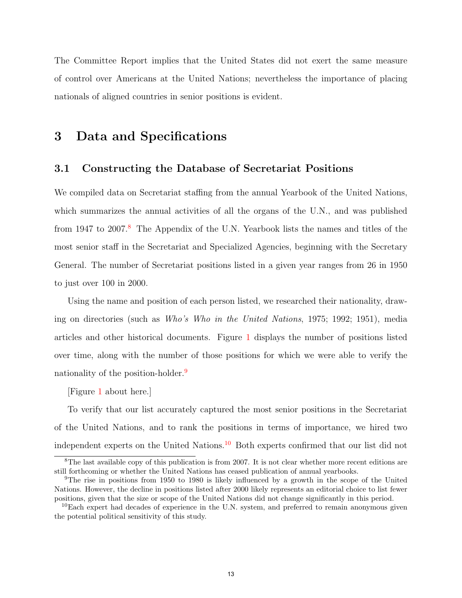The Committee Report implies that the United States did not exert the same measure of control over Americans at the United Nations; nevertheless the importance of placing nationals of aligned countries in senior positions is evident.

## 3 Data and Specifications

#### 3.1 Constructing the Database of Secretariat Positions

We compiled data on Secretariat staffing from the annual Yearbook of the United Nations, which summarizes the annual activities of all the organs of the U.N., and was published from 1947 to 2007.<sup>[8](#page-14-0)</sup> The Appendix of the U.N. Yearbook lists the names and titles of the most senior staff in the Secretariat and Specialized Agencies, beginning with the Secretary General. The number of Secretariat positions listed in a given year ranges from 26 in 1950 to just over 100 in 2000.

Using the name and position of each person listed, we researched their nationality, drawing on directories (such as Who's Who in the United Nations, 1975; 1992; 1951), media articles and other historical documents. Figure [1](#page-39-0) displays the number of positions listed over time, along with the number of those positions for which we were able to verify the nationality of the position-holder.<sup>[9](#page-14-1)</sup>

[Figure [1](#page-39-0) about here.]

To verify that our list accurately captured the most senior positions in the Secretariat of the United Nations, and to rank the positions in terms of importance, we hired two independent experts on the United Nations.[10](#page-14-2) Both experts confirmed that our list did not

<span id="page-14-0"></span><sup>&</sup>lt;sup>8</sup>The last available copy of this publication is from 2007. It is not clear whether more recent editions are still forthcoming or whether the United Nations has ceased publication of annual yearbooks.

<span id="page-14-1"></span><sup>9</sup>The rise in positions from 1950 to 1980 is likely influenced by a growth in the scope of the United Nations. However, the decline in positions listed after 2000 likely represents an editorial choice to list fewer positions, given that the size or scope of the United Nations did not change significantly in this period.

<span id="page-14-2"></span> $10E$ ach expert had decades of experience in the U.N. system, and preferred to remain anonymous given the potential political sensitivity of this study.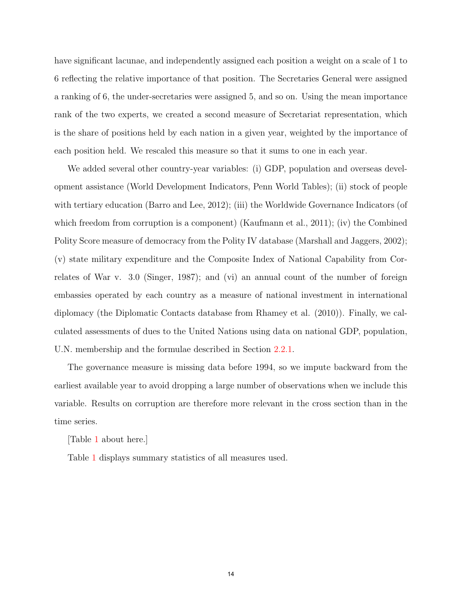have significant lacunae, and independently assigned each position a weight on a scale of 1 to 6 reflecting the relative importance of that position. The Secretaries General were assigned a ranking of 6, the under-secretaries were assigned 5, and so on. Using the mean importance rank of the two experts, we created a second measure of Secretariat representation, which is the share of positions held by each nation in a given year, weighted by the importance of each position held. We rescaled this measure so that it sums to one in each year.

We added several other country-year variables: (i) GDP, population and overseas development assistance (World Development Indicators, Penn World Tables); (ii) stock of people with tertiary education (Barro and Lee, 2012); (iii) the Worldwide Governance Indicators (of which freedom from corruption is a component) (Kaufmann et al., 2011); (iv) the Combined Polity Score measure of democracy from the Polity IV database (Marshall and Jaggers, 2002); (v) state military expenditure and the Composite Index of National Capability from Correlates of War v. 3.0 (Singer, 1987); and (vi) an annual count of the number of foreign embassies operated by each country as a measure of national investment in international diplomacy (the Diplomatic Contacts database from Rhamey et al. (2010)). Finally, we calculated assessments of dues to the United Nations using data on national GDP, population, U.N. membership and the formulae described in Section [2.2.1.](#page-12-2)

The governance measure is missing data before 1994, so we impute backward from the earliest available year to avoid dropping a large number of observations when we include this variable. Results on corruption are therefore more relevant in the cross section than in the time series.

[Table [1](#page-33-0) about here.]

Table [1](#page-33-0) displays summary statistics of all measures used.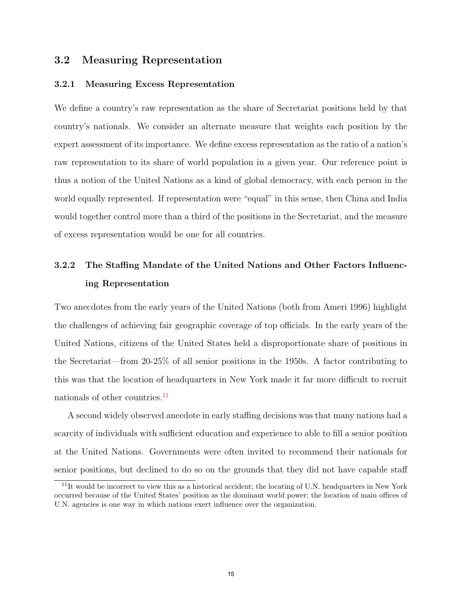#### 3.2 Measuring Representation

#### 3.2.1 Measuring Excess Representation

We define a country's raw representation as the share of Secretariat positions held by that country's nationals. We consider an alternate measure that weights each position by the expert assessment of its importance. We define excess representation as the ratio of a nation's raw representation to its share of world population in a given year. Our reference point is thus a notion of the United Nations as a kind of global democracy, with each person in the world equally represented. If representation were "equal" in this sense, then China and India would together control more than a third of the positions in the Secretariat, and the measure of excess representation would be one for all countries.

## 3.2.2 The Staffing Mandate of the United Nations and Other Factors Influencing Representation

Two anecdotes from the early years of the United Nations (both from Ameri 1996) highlight the challenges of achieving fair geographic coverage of top officials. In the early years of the United Nations, citizens of the United States held a disproportionate share of positions in the Secretariat—from 20-25% of all senior positions in the 1950s. A factor contributing to this was that the location of headquarters in New York made it far more difficult to recruit nationals of other countries.<sup>[11](#page-16-0)</sup>

A second widely observed anecdote in early staffing decisions was that many nations had a scarcity of individuals with sufficient education and experience to able to fill a senior position at the United Nations. Governments were often invited to recommend their nationals for senior positions, but declined to do so on the grounds that they did not have capable staff

<span id="page-16-0"></span><sup>&</sup>lt;sup>11</sup>It would be incorrect to view this as a historical accident; the locating of U.N. headquarters in New York occurred because of the United States' position as the dominant world power; the location of main offices of U.N. agencies is one way in which nations exert influence over the organization.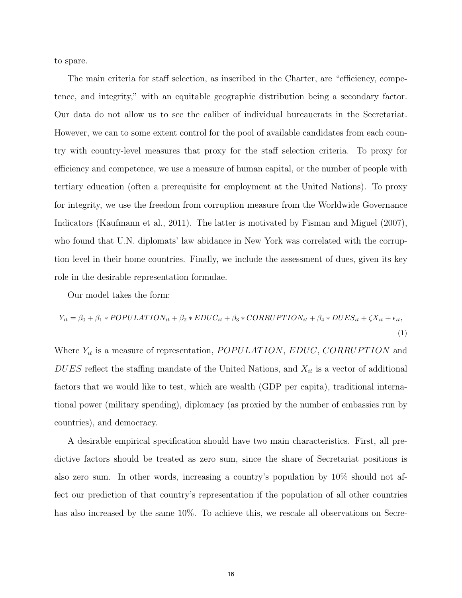to spare.

The main criteria for staff selection, as inscribed in the Charter, are "efficiency, competence, and integrity," with an equitable geographic distribution being a secondary factor. Our data do not allow us to see the caliber of individual bureaucrats in the Secretariat. However, we can to some extent control for the pool of available candidates from each country with country-level measures that proxy for the staff selection criteria. To proxy for efficiency and competence, we use a measure of human capital, or the number of people with tertiary education (often a prerequisite for employment at the United Nations). To proxy for integrity, we use the freedom from corruption measure from the Worldwide Governance Indicators (Kaufmann et al., 2011). The latter is motivated by Fisman and Miguel (2007), who found that U.N. diplomats' law abidance in New York was correlated with the corruption level in their home countries. Finally, we include the assessment of dues, given its key role in the desirable representation formulae.

Our model takes the form:

<span id="page-17-0"></span>
$$
Y_{it} = \beta_0 + \beta_1 * POPULATION_{it} + \beta_2 * EDUC_{it} + \beta_3 * CORRUPTION_{it} + \beta_4 * DUES_{it} + \zeta X_{it} + \epsilon_{it},
$$
\n(1)

Where  $Y_{it}$  is a measure of representation, POPULATION, EDUC, CORRUPTION and DUES reflect the staffing mandate of the United Nations, and  $X_{it}$  is a vector of additional factors that we would like to test, which are wealth (GDP per capita), traditional international power (military spending), diplomacy (as proxied by the number of embassies run by countries), and democracy.

A desirable empirical specification should have two main characteristics. First, all predictive factors should be treated as zero sum, since the share of Secretariat positions is also zero sum. In other words, increasing a country's population by 10% should not affect our prediction of that country's representation if the population of all other countries has also increased by the same  $10\%$ . To achieve this, we rescale all observations on Secre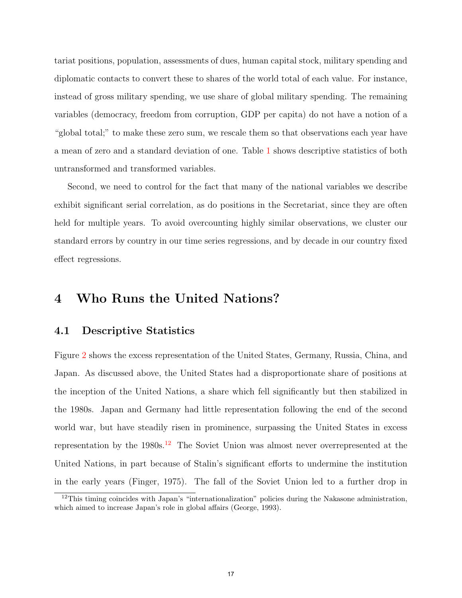tariat positions, population, assessments of dues, human capital stock, military spending and diplomatic contacts to convert these to shares of the world total of each value. For instance, instead of gross military spending, we use share of global military spending. The remaining variables (democracy, freedom from corruption, GDP per capita) do not have a notion of a "global total;" to make these zero sum, we rescale them so that observations each year have a mean of zero and a standard deviation of one. Table [1](#page-33-0) shows descriptive statistics of both untransformed and transformed variables.

Second, we need to control for the fact that many of the national variables we describe exhibit significant serial correlation, as do positions in the Secretariat, since they are often held for multiple years. To avoid overcounting highly similar observations, we cluster our standard errors by country in our time series regressions, and by decade in our country fixed effect regressions.

## 4 Who Runs the United Nations?

#### 4.1 Descriptive Statistics

Figure [2](#page-40-0) shows the excess representation of the United States, Germany, Russia, China, and Japan. As discussed above, the United States had a disproportionate share of positions at the inception of the United Nations, a share which fell significantly but then stabilized in the 1980s. Japan and Germany had little representation following the end of the second world war, but have steadily risen in prominence, surpassing the United States in excess representation by the  $1980s$ .<sup>[12](#page-18-0)</sup> The Soviet Union was almost never overrepresented at the United Nations, in part because of Stalin's significant efforts to undermine the institution in the early years (Finger, 1975). The fall of the Soviet Union led to a further drop in

<span id="page-18-0"></span><sup>&</sup>lt;sup>12</sup>This timing coincides with Japan's "internationalization" policies during the Nakasone administration, which aimed to increase Japan's role in global affairs (George, 1993).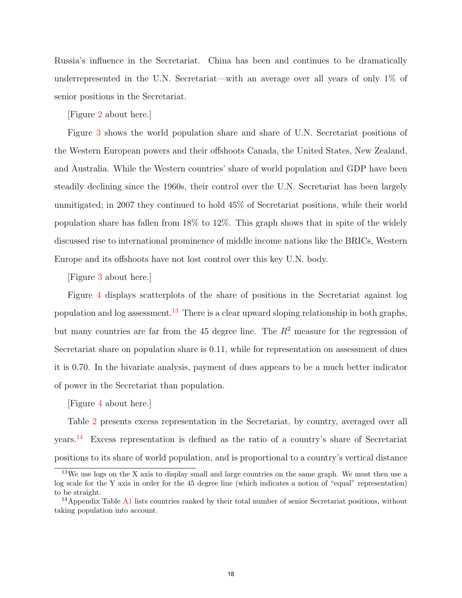Russia's influence in the Secretariat. China has been and continues to be dramatically underrepresented in the U.N. Secretariat—with an average over all years of only 1% of senior positions in the Secretariat.

[Figure [2](#page-40-0) about here.]

Figure [3](#page-41-0) shows the world population share and share of U.N. Secretariat positions of the Western European powers and their offshoots Canada, the United States, New Zealand, and Australia. While the Western countries' share of world population and GDP have been steadily declining since the 1960s, their control over the U.N. Secretariat has been largely unmitigated; in 2007 they continued to hold 45% of Secretariat positions, while their world population share has fallen from 18% to 12%. This graph shows that in spite of the widely discussed rise to international prominence of middle income nations like the BRICs, Western Europe and its offshoots have not lost control over this key U.N. body.

[Figure [3](#page-41-0) about here.]

Figure [4](#page-42-0) displays scatterplots of the share of positions in the Secretariat against log population and log assessment.<sup>[13](#page-19-0)</sup> There is a clear upward sloping relationship in both graphs, but many countries are far from the 45 degree line. The  $R<sup>2</sup>$  measure for the regression of Secretariat share on population share is 0.11, while for representation on assessment of dues it is 0.70. In the bivariate analysis, payment of dues appears to be a much better indicator of power in the Secretariat than population.

[Figure [4](#page-42-0) about here.]

Table [2](#page-34-0) presents excess representation in the Secretariat, by country, averaged over all years.<sup>[14](#page-19-1)</sup> Excess representation is defined as the ratio of a country's share of Secretariat positions to its share of world population, and is proportional to a country's vertical distance

<span id="page-19-0"></span> $13$ We use logs on the X axis to display small and large countries on the same graph. We must then use a log scale for the Y axis in order for the 45 degree line (which indicates a notion of "equal" representation) to be straight.

<span id="page-19-1"></span><sup>&</sup>lt;sup>14</sup>Appendix Table [A1](#page-33-0) lists countries ranked by their total number of senior Secretariat positions, without taking population into account.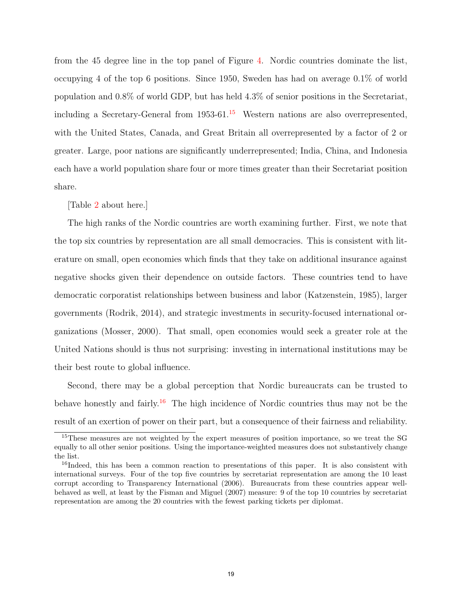from the 45 degree line in the top panel of Figure [4.](#page-42-0) Nordic countries dominate the list, occupying 4 of the top 6 positions. Since 1950, Sweden has had on average 0.1% of world population and 0.8% of world GDP, but has held 4.3% of senior positions in the Secretariat, including a Secretary-General from  $1953-61<sup>15</sup>$  $1953-61<sup>15</sup>$  $1953-61<sup>15</sup>$  Western nations are also overrepresented, with the United States, Canada, and Great Britain all overrepresented by a factor of 2 or greater. Large, poor nations are significantly underrepresented; India, China, and Indonesia each have a world population share four or more times greater than their Secretariat position share.

[Table [2](#page-34-0) about here.]

The high ranks of the Nordic countries are worth examining further. First, we note that the top six countries by representation are all small democracies. This is consistent with literature on small, open economies which finds that they take on additional insurance against negative shocks given their dependence on outside factors. These countries tend to have democratic corporatist relationships between business and labor (Katzenstein, 1985), larger governments (Rodrik, 2014), and strategic investments in security-focused international organizations (Mosser, 2000). That small, open economies would seek a greater role at the United Nations should is thus not surprising: investing in international institutions may be their best route to global influence.

Second, there may be a global perception that Nordic bureaucrats can be trusted to behave honestly and fairly.<sup>[16](#page-20-1)</sup> The high incidence of Nordic countries thus may not be the result of an exertion of power on their part, but a consequence of their fairness and reliability.

<span id="page-20-0"></span><sup>&</sup>lt;sup>15</sup>These measures are not weighted by the expert measures of position importance, so we treat the SG equally to all other senior positions. Using the importance-weighted measures does not substantively change the list.

<span id="page-20-1"></span><sup>&</sup>lt;sup>16</sup>Indeed, this has been a common reaction to presentations of this paper. It is also consistent with international surveys. Four of the top five countries by secretariat representation are among the 10 least corrupt according to Transparency International (2006). Bureaucrats from these countries appear wellbehaved as well, at least by the Fisman and Miguel (2007) measure: 9 of the top 10 countries by secretariat representation are among the 20 countries with the fewest parking tickets per diplomat.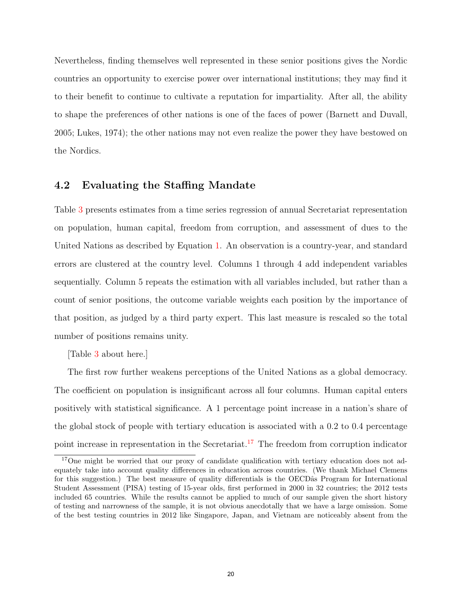Nevertheless, finding themselves well represented in these senior positions gives the Nordic countries an opportunity to exercise power over international institutions; they may find it to their benefit to continue to cultivate a reputation for impartiality. After all, the ability to shape the preferences of other nations is one of the faces of power (Barnett and Duvall, 2005; Lukes, 1974); the other nations may not even realize the power they have bestowed on the Nordics.

#### 4.2 Evaluating the Staffing Mandate

Table [3](#page-35-0) presents estimates from a time series regression of annual Secretariat representation on population, human capital, freedom from corruption, and assessment of dues to the United Nations as described by Equation [1.](#page-17-0) An observation is a country-year, and standard errors are clustered at the country level. Columns 1 through 4 add independent variables sequentially. Column 5 repeats the estimation with all variables included, but rather than a count of senior positions, the outcome variable weights each position by the importance of that position, as judged by a third party expert. This last measure is rescaled so the total number of positions remains unity.

[Table [3](#page-35-0) about here.]

The first row further weakens perceptions of the United Nations as a global democracy. The coefficient on population is insignificant across all four columns. Human capital enters positively with statistical significance. A 1 percentage point increase in a nation's share of the global stock of people with tertiary education is associated with a 0.2 to 0.4 percentage point increase in representation in the Secretariat.<sup>[17](#page-21-0)</sup> The freedom from corruption indicator

<span id="page-21-0"></span><sup>&</sup>lt;sup>17</sup>One might be worried that our proxy of candidate qualification with tertiary education does not adequately take into account quality differences in education across countries. (We thank Michael Clemens for this suggestion.) The best measure of quality differentials is the OECD $\hat{a}$ s Program for International Student Assessment (PISA) testing of 15-year olds, first performed in 2000 in 32 countries; the 2012 tests included 65 countries. While the results cannot be applied to much of our sample given the short history of testing and narrowness of the sample, it is not obvious anecdotally that we have a large omission. Some of the best testing countries in 2012 like Singapore, Japan, and Vietnam are noticeably absent from the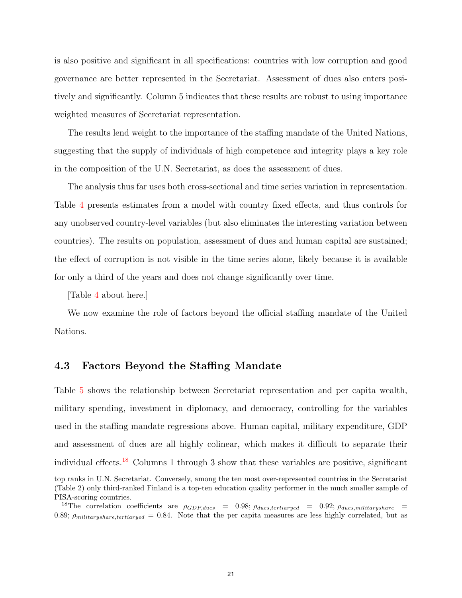is also positive and significant in all specifications: countries with low corruption and good governance are better represented in the Secretariat. Assessment of dues also enters positively and significantly. Column 5 indicates that these results are robust to using importance weighted measures of Secretariat representation.

The results lend weight to the importance of the staffing mandate of the United Nations, suggesting that the supply of individuals of high competence and integrity plays a key role in the composition of the U.N. Secretariat, as does the assessment of dues.

The analysis thus far uses both cross-sectional and time series variation in representation. Table [4](#page-36-0) presents estimates from a model with country fixed effects, and thus controls for any unobserved country-level variables (but also eliminates the interesting variation between countries). The results on population, assessment of dues and human capital are sustained; the effect of corruption is not visible in the time series alone, likely because it is available for only a third of the years and does not change significantly over time.

[Table [4](#page-36-0) about here.]

We now examine the role of factors beyond the official staffing mandate of the United Nations.

#### 4.3 Factors Beyond the Staffing Mandate

Table [5](#page-37-0) shows the relationship between Secretariat representation and per capita wealth, military spending, investment in diplomacy, and democracy, controlling for the variables used in the staffing mandate regressions above. Human capital, military expenditure, GDP and assessment of dues are all highly colinear, which makes it difficult to separate their individual effects.<sup>[18](#page-22-0)</sup> Columns 1 through 3 show that these variables are positive, significant

top ranks in U.N. Secretariat. Conversely, among the ten most over-represented countries in the Secretariat (Table 2) only third-ranked Finland is a top-ten education quality performer in the much smaller sample of PISA-scoring countries.

<span id="page-22-0"></span><sup>&</sup>lt;sup>18</sup>The correlation coefficients are  $\rho_{GDP, dues} = 0.98; \rho_{dues, tertiaryed} = 0.92; \rho_{dues, military share} =$ 0.89;  $\rho_{militaryshare, tetriarued} = 0.84$ . Note that the per capita measures are less highly correlated, but as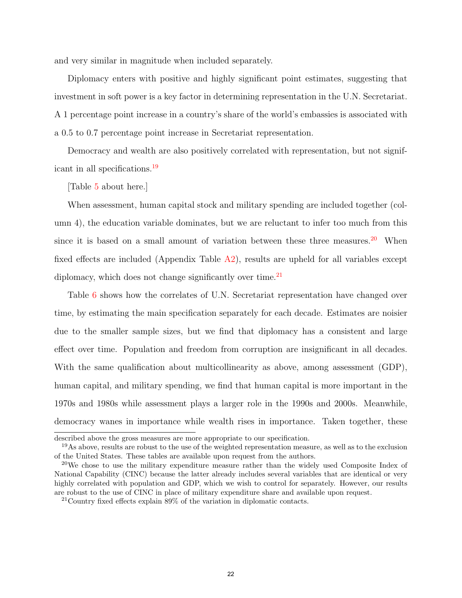and very similar in magnitude when included separately.

Diplomacy enters with positive and highly significant point estimates, suggesting that investment in soft power is a key factor in determining representation in the U.N. Secretariat. A 1 percentage point increase in a country's share of the world's embassies is associated with a 0.5 to 0.7 percentage point increase in Secretariat representation.

Democracy and wealth are also positively correlated with representation, but not significant in all specifications.[19](#page-23-0)

[Table [5](#page-37-0) about here.]

When assessment, human capital stock and military spending are included together (column 4), the education variable dominates, but we are reluctant to infer too much from this since it is based on a small amount of variation between these three measures.<sup>[20](#page-23-1)</sup> When fixed effects are included (Appendix Table [A2\)](#page-34-0), results are upheld for all variables except diplomacy, which does not change significantly over time. $^{21}$  $^{21}$  $^{21}$ 

Table [6](#page-38-0) shows how the correlates of U.N. Secretariat representation have changed over time, by estimating the main specification separately for each decade. Estimates are noisier due to the smaller sample sizes, but we find that diplomacy has a consistent and large effect over time. Population and freedom from corruption are insignificant in all decades. With the same qualification about multicollinearity as above, among assessment (GDP), human capital, and military spending, we find that human capital is more important in the 1970s and 1980s while assessment plays a larger role in the 1990s and 2000s. Meanwhile, democracy wanes in importance while wealth rises in importance. Taken together, these

described above the gross measures are more appropriate to our specification.

<span id="page-23-0"></span><sup>19</sup>As above, results are robust to the use of the weighted representation measure, as well as to the exclusion of the United States. These tables are available upon request from the authors.

<span id="page-23-1"></span><sup>&</sup>lt;sup>20</sup>We chose to use the military expenditure measure rather than the widely used Composite Index of National Capability (CINC) because the latter already includes several variables that are identical or very highly correlated with population and GDP, which we wish to control for separately. However, our results are robust to the use of CINC in place of military expenditure share and available upon request.

<span id="page-23-2"></span><sup>21</sup>Country fixed effects explain 89% of the variation in diplomatic contacts.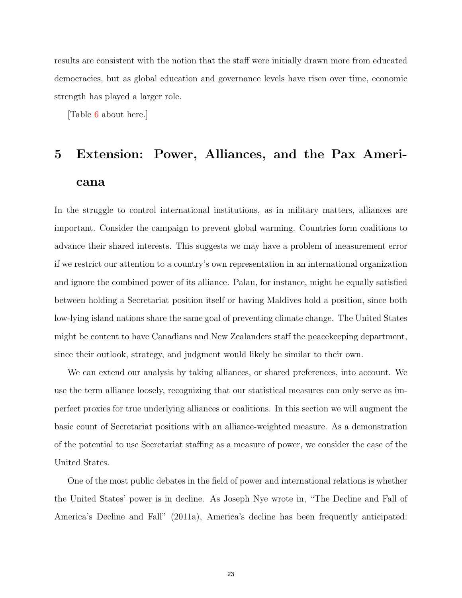results are consistent with the notion that the staff were initially drawn more from educated democracies, but as global education and governance levels have risen over time, economic strength has played a larger role.

[Table [6](#page-38-0) about here.]

## 5 Extension: Power, Alliances, and the Pax Americana

In the struggle to control international institutions, as in military matters, alliances are important. Consider the campaign to prevent global warming. Countries form coalitions to advance their shared interests. This suggests we may have a problem of measurement error if we restrict our attention to a country's own representation in an international organization and ignore the combined power of its alliance. Palau, for instance, might be equally satisfied between holding a Secretariat position itself or having Maldives hold a position, since both low-lying island nations share the same goal of preventing climate change. The United States might be content to have Canadians and New Zealanders staff the peacekeeping department, since their outlook, strategy, and judgment would likely be similar to their own.

We can extend our analysis by taking alliances, or shared preferences, into account. We use the term alliance loosely, recognizing that our statistical measures can only serve as imperfect proxies for true underlying alliances or coalitions. In this section we will augment the basic count of Secretariat positions with an alliance-weighted measure. As a demonstration of the potential to use Secretariat staffing as a measure of power, we consider the case of the United States.

One of the most public debates in the field of power and international relations is whether the United States' power is in decline. As Joseph Nye wrote in, "The Decline and Fall of America's Decline and Fall" (2011a), America's decline has been frequently anticipated: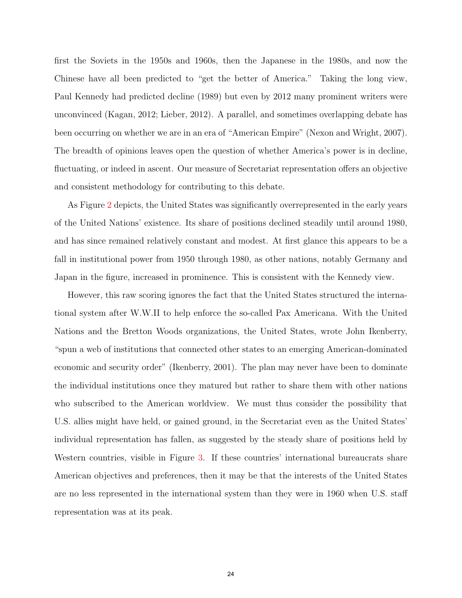first the Soviets in the 1950s and 1960s, then the Japanese in the 1980s, and now the Chinese have all been predicted to "get the better of America." Taking the long view, Paul Kennedy had predicted decline (1989) but even by 2012 many prominent writers were unconvinced (Kagan, 2012; Lieber, 2012). A parallel, and sometimes overlapping debate has been occurring on whether we are in an era of "American Empire" (Nexon and Wright, 2007). The breadth of opinions leaves open the question of whether America's power is in decline, fluctuating, or indeed in ascent. Our measure of Secretariat representation offers an objective and consistent methodology for contributing to this debate.

As Figure [2](#page-40-0) depicts, the United States was significantly overrepresented in the early years of the United Nations' existence. Its share of positions declined steadily until around 1980, and has since remained relatively constant and modest. At first glance this appears to be a fall in institutional power from 1950 through 1980, as other nations, notably Germany and Japan in the figure, increased in prominence. This is consistent with the Kennedy view.

However, this raw scoring ignores the fact that the United States structured the international system after W.W.II to help enforce the so-called Pax Americana. With the United Nations and the Bretton Woods organizations, the United States, wrote John Ikenberry, "spun a web of institutions that connected other states to an emerging American-dominated economic and security order" (Ikenberry, 2001). The plan may never have been to dominate the individual institutions once they matured but rather to share them with other nations who subscribed to the American worldview. We must thus consider the possibility that U.S. allies might have held, or gained ground, in the Secretariat even as the United States' individual representation has fallen, as suggested by the steady share of positions held by Western countries, visible in Figure [3.](#page-41-0) If these countries' international bureaucrats share American objectives and preferences, then it may be that the interests of the United States are no less represented in the international system than they were in 1960 when U.S. staff representation was at its peak.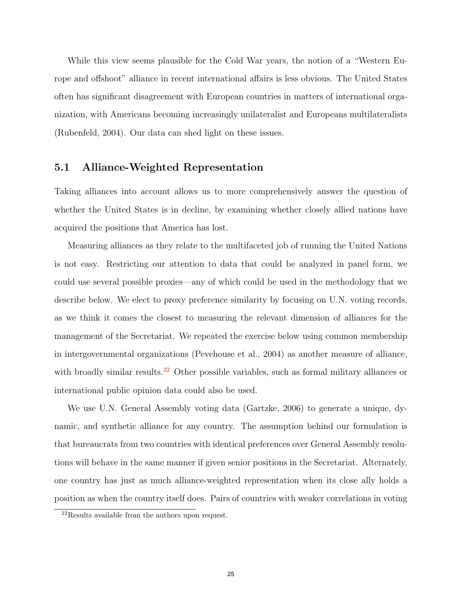While this view seems plausible for the Cold War years, the notion of a "Western Europe and offshoot" alliance in recent international affairs is less obvious. The United States often has significant disagreement with European countries in matters of international organization, with Americans becoming increasingly unilateralist and Europeans multilateralists (Rubenfeld, 2004). Our data can shed light on these issues.

#### 5.1 Alliance-Weighted Representation

Taking alliances into account allows us to more comprehensively answer the question of whether the United States is in decline, by examining whether closely allied nations have acquired the positions that America has lost.

Measuring alliances as they relate to the multifaceted job of running the United Nations is not easy. Restricting our attention to data that could be analyzed in panel form, we could use several possible proxies—any of which could be used in the methodology that we describe below. We elect to proxy preference similarity by focusing on U.N. voting records, as we think it comes the closest to measuring the relevant dimension of alliances for the management of the Secretariat. We repeated the exercise below using common membership in intergovernmental organizations (Pevehouse et al., 2004) as another measure of alliance, with broadly similar results.<sup>[22](#page-26-0)</sup> Other possible variables, such as formal military alliances or international public opinion data could also be used.

We use U.N. General Assembly voting data (Gartzke, 2006) to generate a unique, dynamic, and synthetic alliance for any country. The assumption behind our formulation is that bureaucrats from two countries with identical preferences over General Assembly resolutions will behave in the same manner if given senior positions in the Secretariat. Alternately, one country has just as much alliance-weighted representation when its close ally holds a position as when the country itself does. Pairs of countries with weaker correlations in voting

<span id="page-26-0"></span><sup>22</sup>Results available from the authors upon request.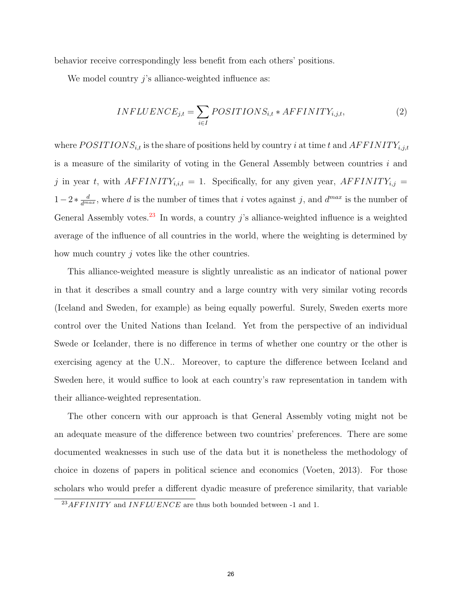behavior receive correspondingly less benefit from each others' positions.

We model country j's alliance-weighted influence as:

<span id="page-27-1"></span>
$$
INFLUENCE_{j,t} = \sum_{i \in I} POSITIONS_{i,t} * AFFINITY_{i,j,t}, \qquad (2)
$$

where  $POSITIONS_{i,t}$  is the share of positions held by country i at time t and  $AFFINITY_{i,j,t}$ is a measure of the similarity of voting in the General Assembly between countries  $i$  and j in year t, with  $AF FINITY_{i,i,t} = 1$ . Specifically, for any given year,  $AFFINITY_{i,j} =$  $1-2*\frac{d}{d^{max}}$ , where d is the number of times that i votes against j, and  $d^{max}$  is the number of General Assembly votes.<sup>[23](#page-27-0)</sup> In words, a country j's alliance-weighted influence is a weighted average of the influence of all countries in the world, where the weighting is determined by how much country  $j$  votes like the other countries.

This alliance-weighted measure is slightly unrealistic as an indicator of national power in that it describes a small country and a large country with very similar voting records (Iceland and Sweden, for example) as being equally powerful. Surely, Sweden exerts more control over the United Nations than Iceland. Yet from the perspective of an individual Swede or Icelander, there is no difference in terms of whether one country or the other is exercising agency at the U.N.. Moreover, to capture the difference between Iceland and Sweden here, it would suffice to look at each country's raw representation in tandem with their alliance-weighted representation.

The other concern with our approach is that General Assembly voting might not be an adequate measure of the difference between two countries' preferences. There are some documented weaknesses in such use of the data but it is nonetheless the methodology of choice in dozens of papers in political science and economics (Voeten, 2013). For those scholars who would prefer a different dyadic measure of preference similarity, that variable

<span id="page-27-0"></span> $^{23}AF FINITY$  and  $INFLUENCE$  are thus both bounded between -1 and 1.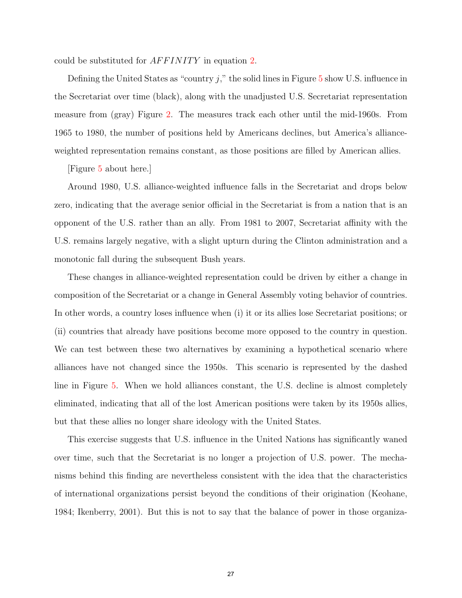could be substituted for *AFFINITY* in equation [2.](#page-27-1)

Defining the United States as "country  $j$ ," the solid lines in Figure [5](#page-43-0) show U.S. influence in the Secretariat over time (black), along with the unadjusted U.S. Secretariat representation measure from (gray) Figure [2.](#page-40-0) The measures track each other until the mid-1960s. From 1965 to 1980, the number of positions held by Americans declines, but America's allianceweighted representation remains constant, as those positions are filled by American allies.

[Figure [5](#page-43-0) about here.]

Around 1980, U.S. alliance-weighted influence falls in the Secretariat and drops below zero, indicating that the average senior official in the Secretariat is from a nation that is an opponent of the U.S. rather than an ally. From 1981 to 2007, Secretariat affinity with the U.S. remains largely negative, with a slight upturn during the Clinton administration and a monotonic fall during the subsequent Bush years.

These changes in alliance-weighted representation could be driven by either a change in composition of the Secretariat or a change in General Assembly voting behavior of countries. In other words, a country loses influence when (i) it or its allies lose Secretariat positions; or (ii) countries that already have positions become more opposed to the country in question. We can test between these two alternatives by examining a hypothetical scenario where alliances have not changed since the 1950s. This scenario is represented by the dashed line in Figure [5.](#page-43-0) When we hold alliances constant, the U.S. decline is almost completely eliminated, indicating that all of the lost American positions were taken by its 1950s allies, but that these allies no longer share ideology with the United States.

This exercise suggests that U.S. influence in the United Nations has significantly waned over time, such that the Secretariat is no longer a projection of U.S. power. The mechanisms behind this finding are nevertheless consistent with the idea that the characteristics of international organizations persist beyond the conditions of their origination (Keohane, 1984; Ikenberry, 2001). But this is not to say that the balance of power in those organiza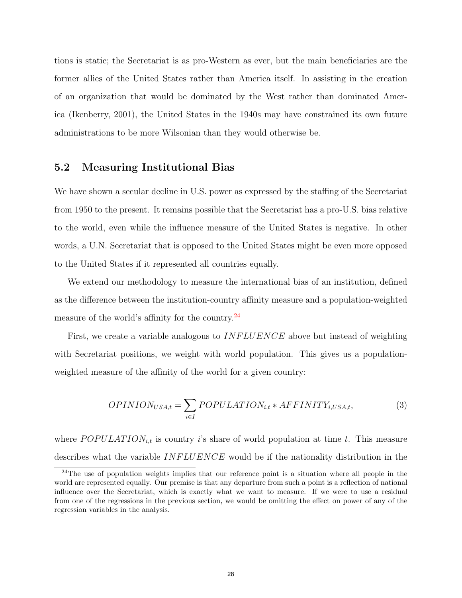tions is static; the Secretariat is as pro-Western as ever, but the main beneficiaries are the former allies of the United States rather than America itself. In assisting in the creation of an organization that would be dominated by the West rather than dominated America (Ikenberry, 2001), the United States in the 1940s may have constrained its own future administrations to be more Wilsonian than they would otherwise be.

#### 5.2 Measuring Institutional Bias

We have shown a secular decline in U.S. power as expressed by the staffing of the Secretariat from 1950 to the present. It remains possible that the Secretariat has a pro-U.S. bias relative to the world, even while the influence measure of the United States is negative. In other words, a U.N. Secretariat that is opposed to the United States might be even more opposed to the United States if it represented all countries equally.

We extend our methodology to measure the international bias of an institution, defined as the difference between the institution-country affinity measure and a population-weighted measure of the world's affinity for the country.<sup>[24](#page-29-0)</sup>

First, we create a variable analogous to  $INFLUENCE$  above but instead of weighting with Secretariat positions, we weight with world population. This gives us a populationweighted measure of the affinity of the world for a given country:

$$
OPINION_{USA,t} = \sum_{i \in I} POPULATION_{i,t} * AFFINITY_{i,USA,t},
$$
\n(3)

where  $POPULATION_{i,t}$  is country i's share of world population at time t. This measure describes what the variable  $INFLUENCE$  would be if the nationality distribution in the

<span id="page-29-0"></span><sup>&</sup>lt;sup>24</sup>The use of population weights implies that our reference point is a situation where all people in the world are represented equally. Our premise is that any departure from such a point is a reflection of national influence over the Secretariat, which is exactly what we want to measure. If we were to use a residual from one of the regressions in the previous section, we would be omitting the effect on power of any of the regression variables in the analysis.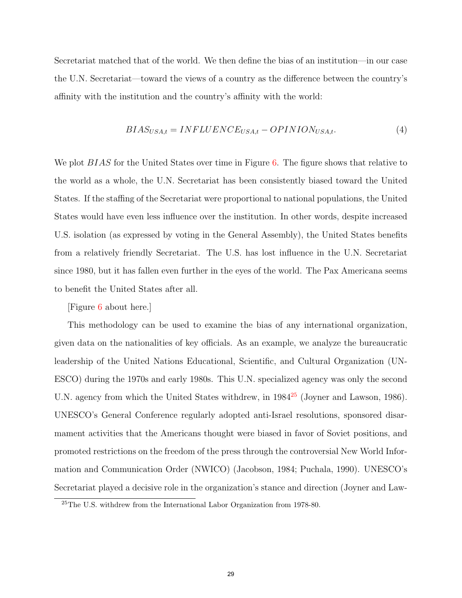Secretariat matched that of the world. We then define the bias of an institution—in our case the U.N. Secretariat—toward the views of a country as the difference between the country's affinity with the institution and the country's affinity with the world:

$$
BIAS_{USA,t} = INFLUENCE_{USA,t} - OPINION_{USA,t}.
$$
\n(4)

We plot *BIAS* for the United States over time in Figure [6.](#page-44-0) The figure shows that relative to the world as a whole, the U.N. Secretariat has been consistently biased toward the United States. If the staffing of the Secretariat were proportional to national populations, the United States would have even less influence over the institution. In other words, despite increased U.S. isolation (as expressed by voting in the General Assembly), the United States benefits from a relatively friendly Secretariat. The U.S. has lost influence in the U.N. Secretariat since 1980, but it has fallen even further in the eyes of the world. The Pax Americana seems to benefit the United States after all.

[Figure [6](#page-44-0) about here.]

This methodology can be used to examine the bias of any international organization, given data on the nationalities of key officials. As an example, we analyze the bureaucratic leadership of the United Nations Educational, Scientific, and Cultural Organization (UN-ESCO) during the 1970s and early 1980s. This U.N. specialized agency was only the second U.N. agency from which the United States withdrew, in 1984<sup>[25](#page-30-0)</sup> (Joyner and Lawson, 1986). UNESCO's General Conference regularly adopted anti-Israel resolutions, sponsored disarmament activities that the Americans thought were biased in favor of Soviet positions, and promoted restrictions on the freedom of the press through the controversial New World Information and Communication Order (NWICO) (Jacobson, 1984; Puchala, 1990). UNESCO's Secretariat played a decisive role in the organization's stance and direction (Joyner and Law-

<span id="page-30-0"></span><sup>25</sup>The U.S. withdrew from the International Labor Organization from 1978-80.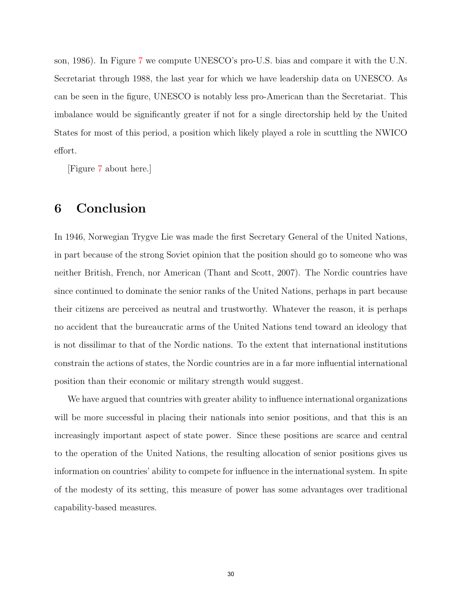son, 1986). In Figure [7](#page-45-0) we compute UNESCO's pro-U.S. bias and compare it with the U.N. Secretariat through 1988, the last year for which we have leadership data on UNESCO. As can be seen in the figure, UNESCO is notably less pro-American than the Secretariat. This imbalance would be significantly greater if not for a single directorship held by the United States for most of this period, a position which likely played a role in scuttling the NWICO effort.

[Figure [7](#page-45-0) about here.]

## 6 Conclusion

In 1946, Norwegian Trygve Lie was made the first Secretary General of the United Nations, in part because of the strong Soviet opinion that the position should go to someone who was neither British, French, nor American (Thant and Scott, 2007). The Nordic countries have since continued to dominate the senior ranks of the United Nations, perhaps in part because their citizens are perceived as neutral and trustworthy. Whatever the reason, it is perhaps no accident that the bureaucratic arms of the United Nations tend toward an ideology that is not dissilimar to that of the Nordic nations. To the extent that international institutions constrain the actions of states, the Nordic countries are in a far more influential international position than their economic or military strength would suggest.

We have argued that countries with greater ability to influence international organizations will be more successful in placing their nationals into senior positions, and that this is an increasingly important aspect of state power. Since these positions are scarce and central to the operation of the United Nations, the resulting allocation of senior positions gives us information on countries' ability to compete for influence in the international system. In spite of the modesty of its setting, this measure of power has some advantages over traditional capability-based measures.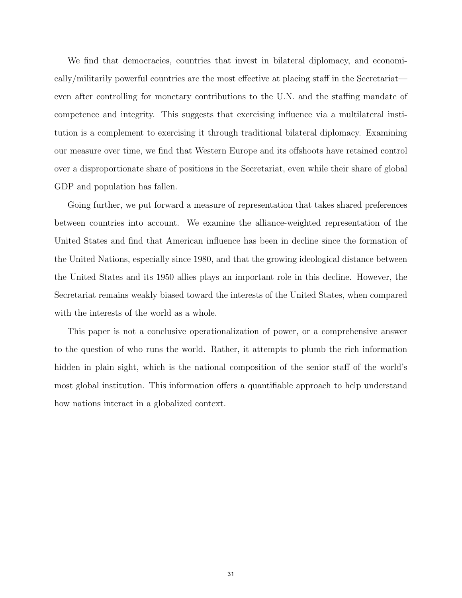We find that democracies, countries that invest in bilateral diplomacy, and economically/militarily powerful countries are the most effective at placing staff in the Secretariat even after controlling for monetary contributions to the U.N. and the staffing mandate of competence and integrity. This suggests that exercising influence via a multilateral institution is a complement to exercising it through traditional bilateral diplomacy. Examining our measure over time, we find that Western Europe and its offshoots have retained control over a disproportionate share of positions in the Secretariat, even while their share of global GDP and population has fallen.

Going further, we put forward a measure of representation that takes shared preferences between countries into account. We examine the alliance-weighted representation of the United States and find that American influence has been in decline since the formation of the United Nations, especially since 1980, and that the growing ideological distance between the United States and its 1950 allies plays an important role in this decline. However, the Secretariat remains weakly biased toward the interests of the United States, when compared with the interests of the world as a whole.

This paper is not a conclusive operationalization of power, or a comprehensive answer to the question of who runs the world. Rather, it attempts to plumb the rich information hidden in plain sight, which is the national composition of the senior staff of the world's most global institution. This information offers a quantifiable approach to help understand how nations interact in a globalized context.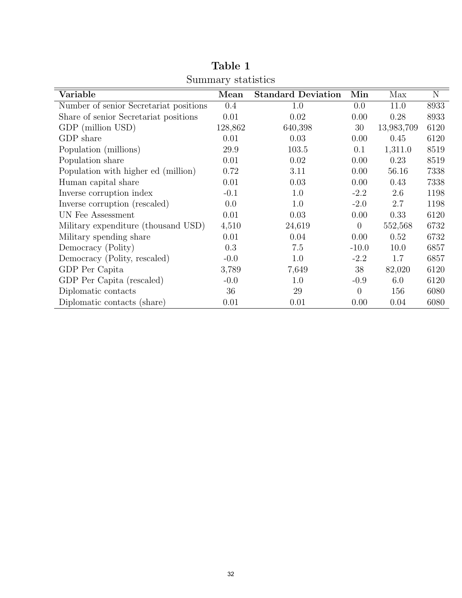<span id="page-33-0"></span>

| Variable                               | Mean    | <b>Standard Deviation</b> | Min              | Max        | $\mathbf N$ |
|----------------------------------------|---------|---------------------------|------------------|------------|-------------|
| Number of senior Secretariat positions | 0.4     | 1.0                       | 0.0              | 11.0       | 8933        |
| Share of senior Secretariat positions  | 0.01    | 0.02                      | 0.00             | 0.28       | 8933        |
| GDP (million USD)                      | 128,862 | 640,398                   | 30               | 13,983,709 | 6120        |
| GDP share                              | 0.01    | 0.03                      | 0.00             | 0.45       | 6120        |
| Population (millions)                  | 29.9    | 103.5                     | 0.1              | 1,311.0    | 8519        |
| Population share                       | 0.01    | 0.02                      | 0.00             | 0.23       | 8519        |
| Population with higher ed (million)    | 0.72    | 3.11                      | 0.00             | 56.16      | 7338        |
| Human capital share                    | 0.01    | 0.03                      | 0.00             | 0.43       | 7338        |
| Inverse corruption index               | $-0.1$  | 1.0                       | $-2.2$           | 2.6        | 1198        |
| Inverse corruption (rescaled)          | 0.0     | 1.0                       | $-2.0$           | 2.7        | 1198        |
| UN Fee Assessment                      | 0.01    | 0.03                      | 0.00             | 0.33       | 6120        |
| Military expenditure (thousand USD)    | 4,510   | 24,619                    | $\boldsymbol{0}$ | 552,568    | 6732        |
| Military spending share                | 0.01    | 0.04                      | 0.00             | 0.52       | 6732        |
| Democracy (Polity)                     | 0.3     | 7.5                       | $-10.0$          | 10.0       | 6857        |
| Democracy (Polity, rescaled)           | $-0.0$  | 1.0                       | $-2.2$           | 1.7        | 6857        |
| GDP Per Capita                         | 3,789   | 7,649                     | 38               | 82,020     | 6120        |
| GDP Per Capita (rescaled)              | $-0.0$  | 1.0                       | $-0.9$           | 6.0        | 6120        |
| Diplomatic contacts                    | 36      | 29                        | $\overline{0}$   | 156        | 6080        |
| Diplomatic contacts (share)            | 0.01    | 0.01                      | 0.00             | 0.04       | 6080        |

Table 1 Summary statistics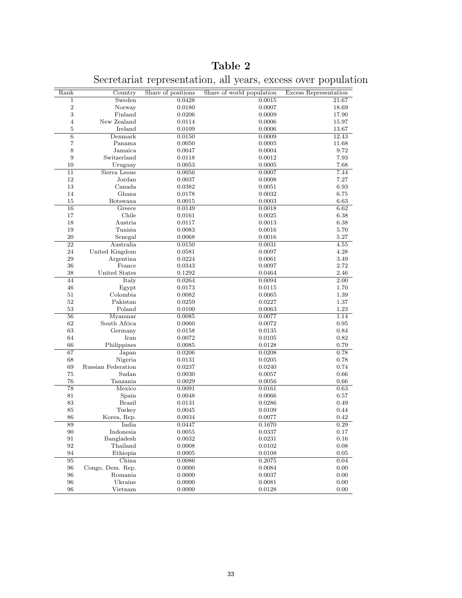<span id="page-34-0"></span>

| Rank             | Country            | Share of positions | Share of world population | Excess Representation |
|------------------|--------------------|--------------------|---------------------------|-----------------------|
| 1                | Sweden             | 0.0428             | 0.0015                    | 21.67                 |
| $\sqrt{2}$       | Norway             | 0.0180             | 0.0007                    | 18.69                 |
| 3                | Finland            | 0.0206             | 0.0009                    | 17.90                 |
| $\overline{4}$   | New Zealand        | 0.0114             | 0.0006                    | 15.97                 |
| 5                | Ireland            | 0.0109             | 0.0006                    | 13.67                 |
| $\,6$            | Denmark            | 0.0150             | 0.0009                    | 12.43                 |
| 7                | Panama             | 0.0050             | 0.0005                    | 11.68                 |
| 8                | Jamaica            | 0.0047             | 0.0004                    | 9.72                  |
| $\boldsymbol{9}$ | Switzerland        | 0.0118             | 0.0012                    | 7.93                  |
| 10               | Uruguay            | 0.0053             | 0.0005                    | 7.68                  |
| 11               | Sierra Leone       | 0.0056             | 0.0007                    | 7.44                  |
| 12               | Jordan             | 0.0037             | 0.0008                    | 7.27                  |
| 13               | Canada             | 0.0382             | 0.0051                    | 6.93                  |
| 14               | Ghana              | 0.0178             | 0.0032                    | 6.75                  |
| 15               | Botswana           | 0.0015             | 0.0003                    | 6.63                  |
| 16               | Greece             | 0.0149             | 0.0018                    | 6.62                  |
| 17               | Chile              | 0.0161             | 0.0025                    | 6.38                  |
| 18               | Austria            | 0.0117             | 0.0013                    | 6.38                  |
| 19               | Tunisia            | 0.0083             | 0.0016                    | 5.70                  |
| 20               | Senegal            | 0.0068             | 0.0016                    | $5.27\,$              |
| 22               | Australia          | 0.0150             | 0.0031                    | 4.55                  |
| 24               | United Kingdom     | 0.0581             | 0.0097                    | 4.28                  |
| 29               | Argentina          | 0.0224             | 0.0061                    | 3.49                  |
| 36               | France             | 0.0343             | 0.0097                    | 2.72                  |
| 38               | United States      | 0.1292             | 0.0464                    | 2.46                  |
| 44               | Italy              | 0.0264             | 0.0094                    | 2.00                  |
| 46               | Egypt              | 0.0173             | 0.0115                    | 1.70                  |
| 51               | Colombia           | 0.0082             | 0.0065                    | 1.39                  |
| 52               | Pakistan           | 0.0259             | 0.0227                    | 1.37                  |
| 53               | Poland             | 0.0100             | 0.0063                    | $1.23\,$              |
| 56               | Myanmar            | 0.0085             | 0.0077                    | 1.14                  |
| 62               | South Africa       | 0.0060             | 0.0072                    | 0.95                  |
| 63               | Germany            | 0.0158             | 0.0135                    | 0.84                  |
| 64               | Iran               | 0.0072             | 0.0105                    | 0.82                  |
| 66               | Philippines        | 0.0085             | 0.0128                    | 0.79                  |
| 67               | Japan              | 0.0206             | 0.0208                    | 0.78                  |
| 68               | Nigeria            | 0.0131             | 0.0205                    | 0.78                  |
| 69               | Russian Federation | 0.0237             | 0.0240                    | 0.74                  |
| 75               | Sudan              | 0.0030             | 0.0057                    | 0.66                  |
| 76               | Tanzania           | 0.0029             | 0.0056                    | 0.66                  |
| 78               | Mexico             | 0.0091             | 0.0161                    | 0.63                  |
| 81               | Spain              | 0.0048             | 0.0066                    | 0.57                  |
| 83               | <b>Brazil</b>      | 0.0131             | 0.0286                    | 0.49                  |
| 85               | Turkey             | 0.0045             | 0.0109                    | 0.44                  |
| 86               | Korea, Rep.        | 0.0034             | 0.0077                    | 0.42                  |
| 89               | India              | 0.0447             | 0.1670                    | 0.29                  |
| 90               | Indonesia          | 0.0055             | 0.0337                    | 0.17                  |
| 91               | Bangladesh         | 0.0032             | 0.0231                    | 0.16                  |
| 92               | Thailand           | 0.0008             | 0.0102                    | 0.08                  |
| 94               | Ethiopia $\,$      | 0.0005             | 0.0108                    | 0.05                  |
| 95               | China              | 0.0086             | 0.2075                    | 0.04                  |
| 96               | Congo, Dem. Rep.   | 0.0000             | 0.0084                    | 0.00                  |
| 96               | Romania            | 0.0000             | 0.0037                    | 0.00                  |
| 96               | Ukraine            | 0.0000             | 0.0081                    | 0.00                  |
| 96               | Vietnam            | 0.0000             | 0.0128                    | 0.00                  |

Table 2

Secretariat representation, all years, excess over population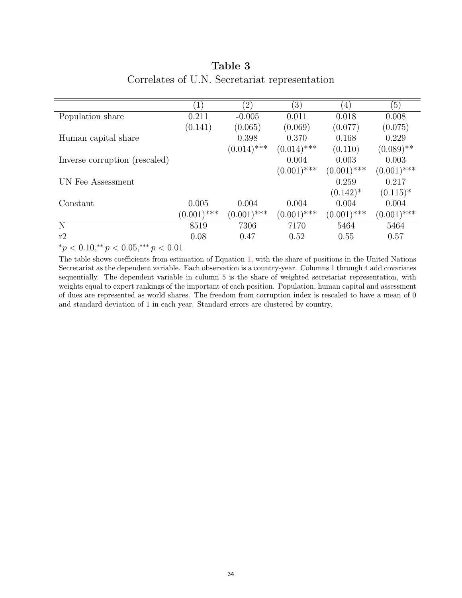<span id="page-35-0"></span>

|                               | 1             | $\left( 2\right)$ | $\left(3\right)$ | $\left( 4\right)$ | (5)           |
|-------------------------------|---------------|-------------------|------------------|-------------------|---------------|
| Population share              | 0.211         | $-0.005$          | 0.011            | 0.018             | 0.008         |
|                               | (0.141)       | (0.065)           | (0.069)          | (0.077)           | (0.075)       |
| Human capital share           |               | 0.398             | 0.370            | 0.168             | 0.229         |
|                               |               | $(0.014)$ ***     | $(0.014)$ ***    | (0.110)           | $(0.089)$ **  |
| Inverse corruption (rescaled) |               |                   | 0.004            | 0.003             | 0.003         |
|                               |               |                   | $(0.001)$ ***    | $(0.001)$ ***     | $(0.001)$ *** |
| UN Fee Assessment             |               |                   |                  | 0.259             | 0.217         |
|                               |               |                   |                  | $(0.142)^*$       | $(0.115)^*$   |
| Constant                      | 0.005         | 0.004             | 0.004            | 0.004             | 0.004         |
|                               | $(0.001)$ *** | $(0.001)$ ***     | $(0.001)$ ***    | $(0.001)$ ***     | $(0.001)$ *** |
| N                             | 8519          | 7306              | 7170             | 5464              | 5464          |
| r2                            | 0.08          | 0.47              | 0.52             | 0.55              | 0.57          |

## Table 3 Correlates of U.N. Secretariat representation

 $p \leq 0.10, p \leq 0.05, p \leq 0.01$ 

The table shows coefficients from estimation of Equation [1,](#page-17-0) with the share of positions in the United Nations Secretariat as the dependent variable. Each observation is a country-year. Columns 1 through 4 add covariates sequentially. The dependent variable in column 5 is the share of weighted secretariat representation, with weights equal to expert rankings of the important of each position. Population, human capital and assessment of dues are represented as world shares. The freedom from corruption index is rescaled to have a mean of 0 and standard deviation of 1 in each year. Standard errors are clustered by country.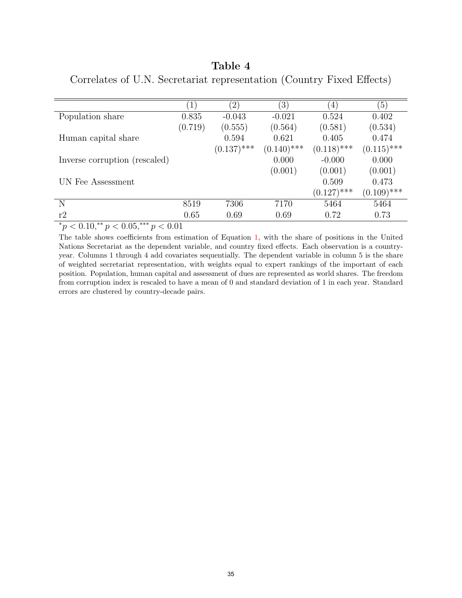<span id="page-36-0"></span>

| Table 4                                                               |  |  |
|-----------------------------------------------------------------------|--|--|
| Correlates of U.N. Secretariat representation (Country Fixed Effects) |  |  |

| $\left(1\right)$ | (2)           | $\left(3\right)$ | (4)           | (5)           |
|------------------|---------------|------------------|---------------|---------------|
| 0.835            | $-0.043$      | $-0.021$         | 0.524         | 0.402         |
| (0.719)          | (0.555)       | (0.564)          | (0.581)       | (0.534)       |
|                  | 0.594         | 0.621            | 0.405         | 0.474         |
|                  | $(0.137)$ *** | $(0.140)$ ***    | $(0.118)$ *** | $(0.115)$ *** |
|                  |               | 0.000            | $-0.000$      | 0.000         |
|                  |               | (0.001)          | (0.001)       | (0.001)       |
|                  |               |                  | 0.509         | 0.473         |
|                  |               |                  | $(0.127)$ *** | $(0.109)$ *** |
| 8519             | 7306          | 7170             | 5464          | 5464          |
| 0.65             | 0.69          | 0.69             | 0.72          | 0.73          |
|                  |               |                  |               |               |

 $*_p$  < 0.10, $*_p$  < 0.05, $*_p$  < 0.01

The table shows coefficients from estimation of Equation [1,](#page-17-0) with the share of positions in the United Nations Secretariat as the dependent variable, and country fixed effects. Each observation is a countryyear. Columns 1 through 4 add covariates sequentially. The dependent variable in column 5 is the share of weighted secretariat representation, with weights equal to expert rankings of the important of each position. Population, human capital and assessment of dues are represented as world shares. The freedom from corruption index is rescaled to have a mean of 0 and standard deviation of 1 in each year. Standard errors are clustered by country-decade pairs.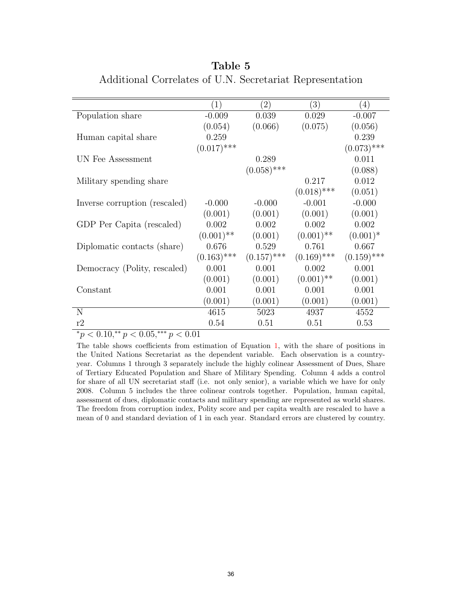<span id="page-37-0"></span>

|                               | $\left(1\right)$ | $\left( 2\right)$ | $\left(3\right)$ | (4)           |
|-------------------------------|------------------|-------------------|------------------|---------------|
| Population share              | $-0.009$         | 0.039             | 0.029            | $-0.007$      |
|                               | (0.054)          | (0.066)           | (0.075)          | (0.056)       |
| Human capital share           | 0.259            |                   |                  | 0.239         |
|                               | $(0.017)$ ***    |                   |                  | $(0.073)$ *** |
| UN Fee Assessment             |                  | 0.289             |                  | 0.011         |
|                               |                  | $(0.058)$ ***     |                  | (0.088)       |
| Military spending share       |                  |                   | 0.217            | 0.012         |
|                               |                  |                   | $(0.018)$ ***    | (0.051)       |
| Inverse corruption (rescaled) | $-0.000$         | $-0.000$          | $-0.001$         | $-0.000$      |
|                               | (0.001)          | (0.001)           | (0.001)          | (0.001)       |
| GDP Per Capita (rescaled)     | 0.002            | 0.002             | 0.002            | 0.002         |
|                               | $(0.001)$ **     | (0.001)           | $(0.001)$ **     | $(0.001)^*$   |
| Diplomatic contacts (share)   | 0.676            | 0.529             | 0.761            | 0.667         |
|                               | $(0.163)$ ***    | $(0.157)$ ***     | $(0.169)$ ***    | $(0.159)$ *** |
| Democracy (Polity, rescaled)  | 0.001            | 0.001             | 0.002            | 0.001         |
|                               | (0.001)          | (0.001)           | $(0.001)$ **     | (0.001)       |
| Constant                      | 0.001            | 0.001             | 0.001            | 0.001         |
|                               | (0.001)          | (0.001)           | (0.001)          | (0.001)       |
| N                             | 4615             | 5023              | 4937             | 4552          |
| r2                            | 0.54             | 0.51              | 0.51             | 0.53          |

Table 5 Additional Correlates of U.N. Secretariat Representation

 $p^*p < 0.10, p^*p < 0.05, p^*p < 0.01$ 

The table shows coefficients from estimation of Equation [1,](#page-17-0) with the share of positions in the United Nations Secretariat as the dependent variable. Each observation is a countryyear. Columns 1 through 3 separately include the highly colinear Assessment of Dues, Share of Tertiary Educated Population and Share of Military Spending. Column 4 adds a control for share of all UN secretariat staff (i.e. not only senior), a variable which we have for only 2008. Column 5 includes the three colinear controls together. Population, human capital, assessment of dues, diplomatic contacts and military spending are represented as world shares. The freedom from corruption index, Polity score and per capita wealth are rescaled to have a mean of 0 and standard deviation of 1 in each year. Standard errors are clustered by country.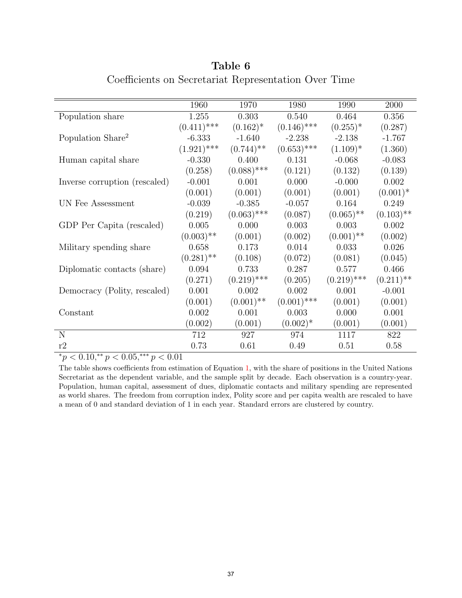<span id="page-38-0"></span>

|                               | 1960                    | 1970                    | 1980          | 1990                    | 2000         |
|-------------------------------|-------------------------|-------------------------|---------------|-------------------------|--------------|
| Population share              | 1.255                   | 0.303                   | 0.540         | 0.464                   | 0.356        |
|                               | $(0.411)$ ***           | $(0.162)^*$             | $(0.146)$ *** | $(0.255)^*$             | (0.287)      |
| Population Share <sup>2</sup> | $-6.333$                | $-1.640$                | $-2.238$      | $-2.138$                | $-1.767$     |
|                               | $(1.921)$ ***           | $(0.744)$ <sup>**</sup> | $(0.653)$ *** | $(1.109)^*$             | (1.360)      |
| Human capital share           | $-0.330$                | 0.400                   | 0.131         | $-0.068$                | $-0.083$     |
|                               | (0.258)                 | $(0.088)$ ***           | (0.121)       | (0.132)                 | (0.139)      |
| Inverse corruption (rescaled) | $-0.001$                | 0.001                   | 0.000         | $-0.000$                | 0.002        |
|                               | (0.001)                 | (0.001)                 | (0.001)       | (0.001)                 | $(0.001)^*$  |
| UN Fee Assessment             | $-0.039$                | $-0.385$                | $-0.057$      | 0.164                   | 0.249        |
|                               | (0.219)                 | $(0.063)$ ***           | (0.087)       | $(0.065)$ <sup>**</sup> | $(0.103)$ ** |
| GDP Per Capita (rescaled)     | 0.005                   | 0.000                   | 0.003         | 0.003                   | 0.002        |
|                               | $(0.003)$ **            | (0.001)                 | (0.002)       | $(0.001)$ **            | (0.002)      |
| Military spending share       | 0.658                   | 0.173                   | 0.014         | 0.033                   | 0.026        |
|                               | $(0.281)$ <sup>**</sup> | (0.108)                 | (0.072)       | (0.081)                 | (0.045)      |
| Diplomatic contacts (share)   | 0.094                   | 0.733                   | 0.287         | 0.577                   | 0.466        |
|                               | (0.271)                 | $(0.219)$ ***           | (0.205)       | $(0.219)$ ***           | $(0.211)$ ** |
| Democracy (Polity, rescaled)  | 0.001                   | 0.002                   | 0.002         | 0.001                   | $-0.001$     |
|                               | (0.001)                 | $(0.001)$ **            | $(0.001)$ *** | (0.001)                 | (0.001)      |
| Constant                      | 0.002                   | 0.001                   | 0.003         | 0.000                   | 0.001        |
|                               | (0.002)                 | (0.001)                 | $(0.002)^*$   | (0.001)                 | (0.001)      |
| N                             | 712                     | 927                     | 974           | 1117                    | 822          |
| r2                            | 0.73                    | 0.61                    | 0.49          | 0.51                    | 0.58         |

Table 6 Coefficients on Secretariat Representation Over Time

 $p \leq 0.10, p \leq 0.05, p \leq 0.01$ 

The table shows coefficients from estimation of Equation [1,](#page-17-0) with the share of positions in the United Nations Secretariat as the dependent variable, and the sample split by decade. Each observation is a country-year. Population, human capital, assessment of dues, diplomatic contacts and military spending are represented as world shares. The freedom from corruption index, Polity score and per capita wealth are rescaled to have a mean of 0 and standard deviation of 1 in each year. Standard errors are clustered by country.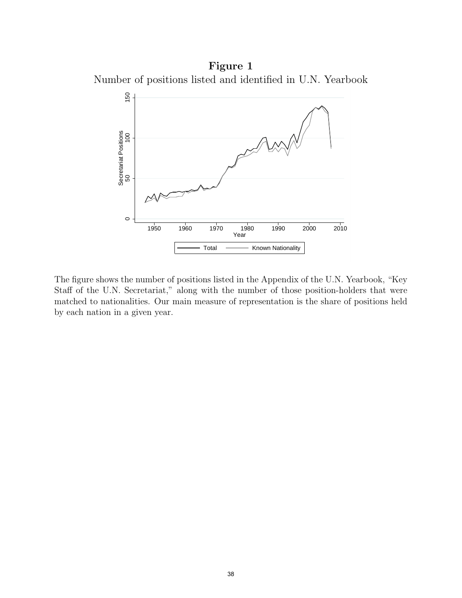<span id="page-39-0"></span>Figure 1 Number of positions listed and identified in U.N. Yearbook



The figure shows the number of positions listed in the Appendix of the U.N. Yearbook, "Key Staff of the U.N. Secretariat," along with the number of those position-holders that were matched to nationalities. Our main measure of representation is the share of positions held by each nation in a given year.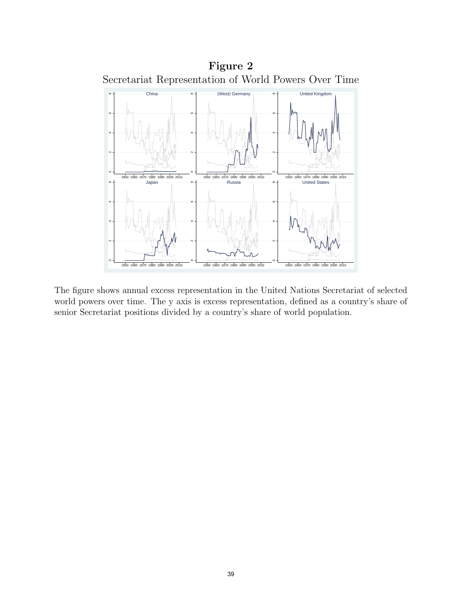<span id="page-40-0"></span>

The figure shows annual excess representation in the United Nations Secretariat of selected world powers over time. The y axis is excess representation, defined as a country's share of senior Secretariat positions divided by a country's share of world population.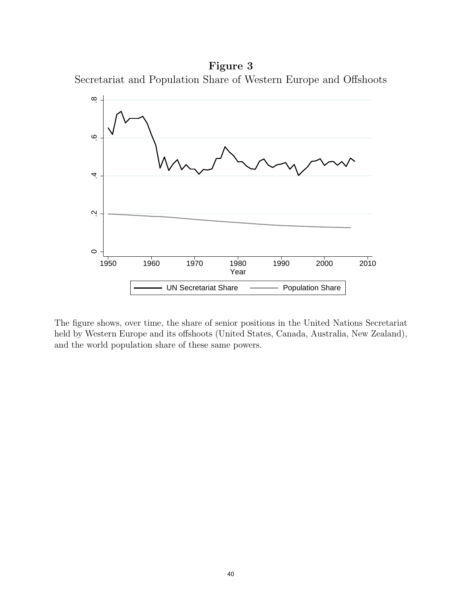<span id="page-41-0"></span>Figure 3 Secretariat and Population Share of Western Europe and Offshoots



The figure shows, over time, the share of senior positions in the United Nations Secretariat held by Western Europe and its offshoots (United States, Canada, Australia, New Zealand), and the world population share of these same powers.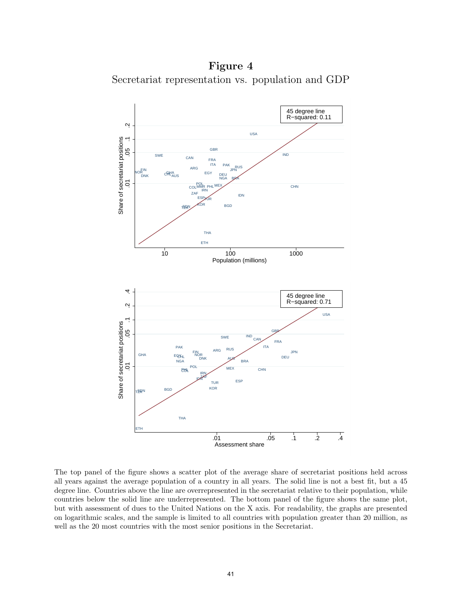<span id="page-42-0"></span>Figure 4 Secretariat representation vs. population and GDP



The top panel of the figure shows a scatter plot of the average share of secretariat positions held across all years against the average population of a country in all years. The solid line is not a best fit, but a 45 degree line. Countries above the line are overrepresented in the secretariat relative to their population, while countries below the solid line are underrepresented. The bottom panel of the figure shows the same plot, but with assessment of dues to the United Nations on the X axis. For readability, the graphs are presented on logarithmic scales, and the sample is limited to all countries with population greater than 20 million, as well as the 20 most countries with the most senior positions in the Secretariat.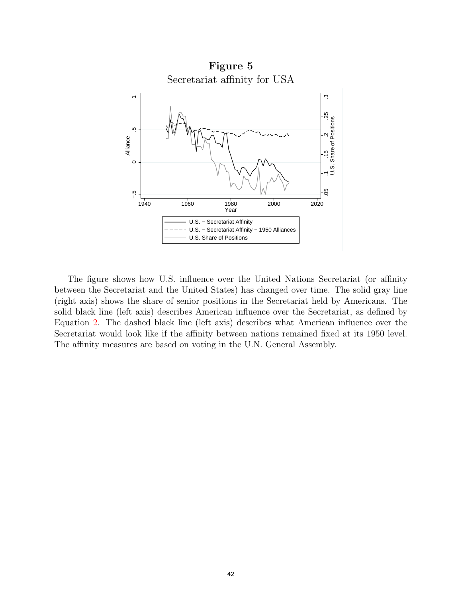<span id="page-43-0"></span>

The figure shows how U.S. influence over the United Nations Secretariat (or affinity between the Secretariat and the United States) has changed over time. The solid gray line (right axis) shows the share of senior positions in the Secretariat held by Americans. The solid black line (left axis) describes American influence over the Secretariat, as defined by Equation [2.](#page-27-1) The dashed black line (left axis) describes what American influence over the Secretariat would look like if the affinity between nations remained fixed at its 1950 level. The affinity measures are based on voting in the U.N. General Assembly.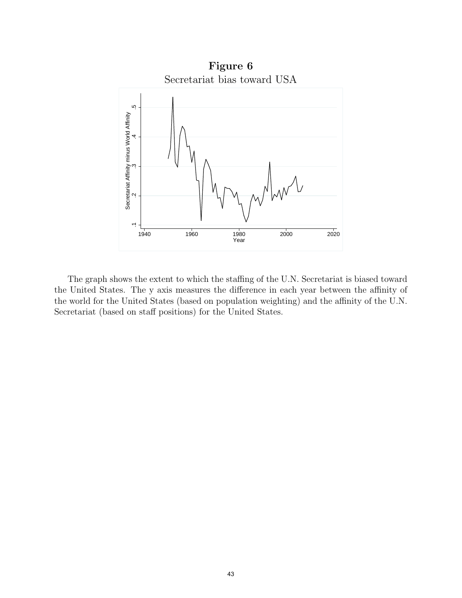<span id="page-44-0"></span>

The graph shows the extent to which the staffing of the U.N. Secretariat is biased toward the United States. The y axis measures the difference in each year between the affinity of the world for the United States (based on population weighting) and the affinity of the U.N. Secretariat (based on staff positions) for the United States.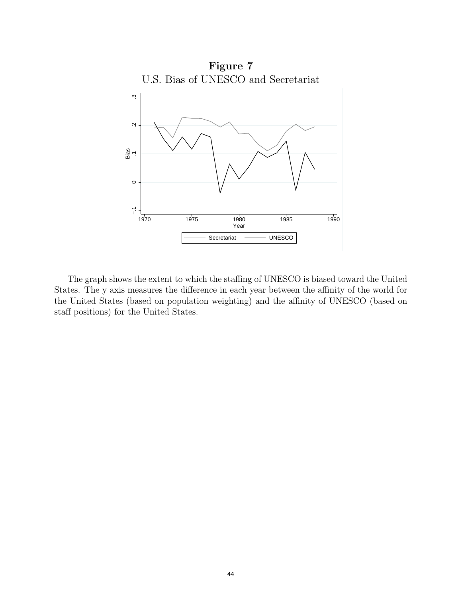<span id="page-45-0"></span>

The graph shows the extent to which the staffing of UNESCO is biased toward the United States. The y axis measures the difference in each year between the affinity of the world for the United States (based on population weighting) and the affinity of UNESCO (based on staff positions) for the United States.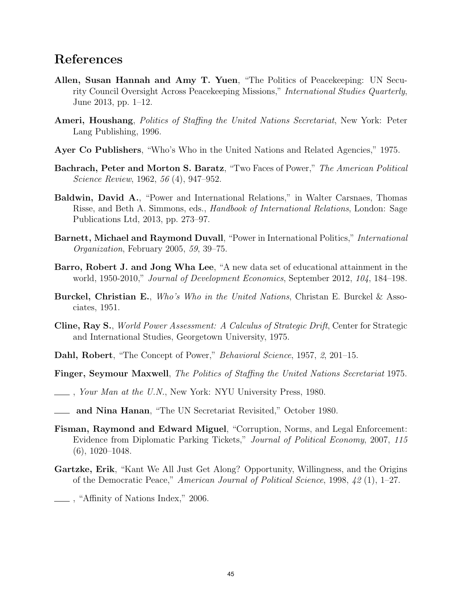## References

- Allen, Susan Hannah and Amy T. Yuen, "The Politics of Peacekeeping: UN Security Council Oversight Across Peacekeeping Missions," International Studies Quarterly, June 2013, pp. 1–12.
- Ameri, Houshang, *Politics of Staffing the United Nations Secretariat*, New York: Peter Lang Publishing, 1996.
- Ayer Co Publishers, "Who's Who in the United Nations and Related Agencies," 1975.
- Bachrach, Peter and Morton S. Baratz, "Two Faces of Power," The American Political Science Review, 1962, 56 (4), 947–952.
- Baldwin, David A., "Power and International Relations," in Walter Carsnaes, Thomas Risse, and Beth A. Simmons, eds., Handbook of International Relations, London: Sage Publications Ltd, 2013, pp. 273–97.
- Barnett, Michael and Raymond Duvall, "Power in International Politics," International Organization, February 2005, 59, 39–75.
- Barro, Robert J. and Jong Wha Lee, "A new data set of educational attainment in the world, 1950-2010," Journal of Development Economics, September 2012, 104, 184–198.
- Burckel, Christian E., Who's Who in the United Nations, Christan E. Burckel & Associates, 1951.
- Cline, Ray S., World Power Assessment: A Calculus of Strategic Drift, Center for Strategic and International Studies, Georgetown University, 1975.
- Dahl, Robert, "The Concept of Power," Behavioral Science, 1957, 2, 201–15.
- Finger, Seymour Maxwell, The Politics of Staffing the United Nations Secretariat 1975.
- *Cour Man at the U.N.*, New York: NYU University Press, 1980.
- **Allet and Nina Hanan**, "The UN Secretariat Revisited," October 1980.
- Fisman, Raymond and Edward Miguel, "Corruption, Norms, and Legal Enforcement: Evidence from Diplomatic Parking Tickets," Journal of Political Economy, 2007, 115 (6), 1020–1048.
- Gartzke, Erik, "Kant We All Just Get Along? Opportunity, Willingness, and the Origins of the Democratic Peace," American Journal of Political Science, 1998, 42 (1), 1–27.
- , "Affinity of Nations Index," 2006.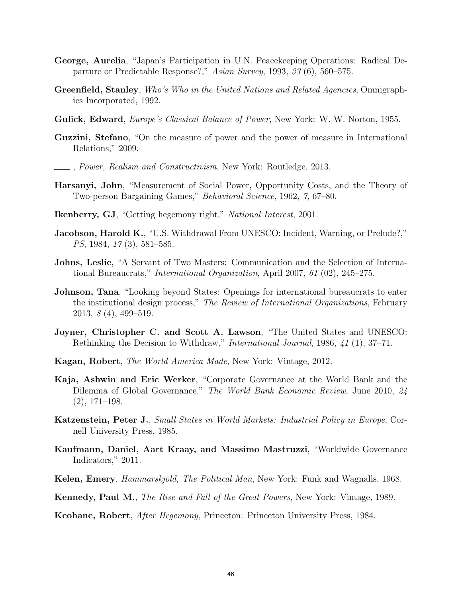- George, Aurelia, "Japan's Participation in U.N. Peacekeeping Operations: Radical Departure or Predictable Response?," Asian Survey, 1993, 33 (6), 560–575.
- Greenfield, Stanley, Who's Who in the United Nations and Related Agencies, Omnigraphics Incorporated, 1992.
- Gulick, Edward, *Europe's Classical Balance of Power*, New York: W. W. Norton, 1955.
- Guzzini, Stefano, "On the measure of power and the power of measure in International Relations," 2009.
- , Power, Realism and Constructivism, New York: Routledge, 2013.
- Harsanyi, John, "Measurement of Social Power, Opportunity Costs, and the Theory of Two-person Bargaining Games," Behavioral Science, 1962, 7, 67–80.
- Ikenberry, GJ, "Getting hegemony right," National Interest, 2001.
- **Jacobson, Harold K.**, "U.S. Withdrawal From UNESCO: Incident, Warning, or Prelude?," PS, 1984, 17 (3), 581–585.
- Johns, Leslie, "A Servant of Two Masters: Communication and the Selection of International Bureaucrats," International Organization, April 2007, 61 (02), 245–275.
- Johnson, Tana, "Looking beyond States: Openings for international bureaucrats to enter the institutional design process," The Review of International Organizations, February 2013, 8 (4), 499–519.
- Joyner, Christopher C. and Scott A. Lawson, "The United States and UNESCO: Rethinking the Decision to Withdraw," International Journal, 1986, 41 (1), 37–71.
- Kagan, Robert, The World America Made, New York: Vintage, 2012.
- Kaja, Ashwin and Eric Werker, "Corporate Governance at the World Bank and the Dilemma of Global Governance," The World Bank Economic Review, June 2010, 24 (2), 171–198.
- Katzenstein, Peter J., Small States in World Markets: Industrial Policy in Europe, Cornell University Press, 1985.
- Kaufmann, Daniel, Aart Kraay, and Massimo Mastruzzi, "Worldwide Governance Indicators," 2011.
- Kelen, Emery, *Hammarskjold, The Political Man*, New York: Funk and Wagnalls, 1968.
- Kennedy, Paul M., The Rise and Fall of the Great Powers, New York: Vintage, 1989.
- Keohane, Robert, After Hegemony, Princeton: Princeton University Press, 1984.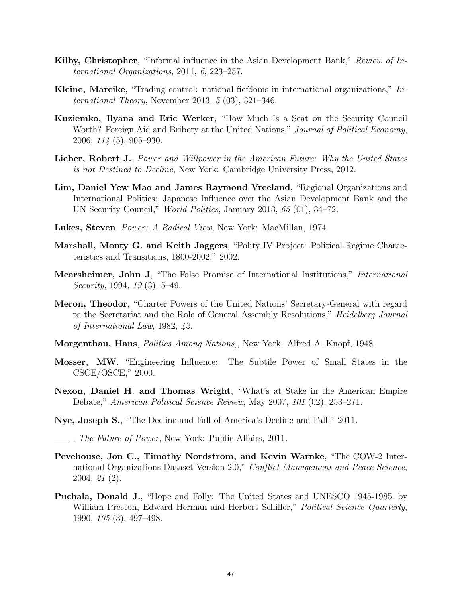- Kilby, Christopher, "Informal influence in the Asian Development Bank," Review of International Organizations, 2011, 6, 223–257.
- Kleine, Mareike, "Trading control: national fiefdoms in international organizations," In*ternational Theory*, November 2013,  $5(03)$ , 321–346.
- Kuziemko, Ilyana and Eric Werker, "How Much Is a Seat on the Security Council Worth? Foreign Aid and Bribery at the United Nations," Journal of Political Economy, 2006, 114 (5), 905–930.
- Lieber, Robert J., Power and Willpower in the American Future: Why the United States is not Destined to Decline, New York: Cambridge University Press, 2012.
- Lim, Daniel Yew Mao and James Raymond Vreeland, "Regional Organizations and International Politics: Japanese Influence over the Asian Development Bank and the UN Security Council," World Politics, January 2013, 65 (01), 34–72.
- Lukes, Steven, Power: A Radical View, New York: MacMillan, 1974.
- Marshall, Monty G. and Keith Jaggers, "Polity IV Project: Political Regime Characteristics and Transitions, 1800-2002," 2002.
- Mearsheimer, John J, "The False Promise of International Institutions," International Security, 1994, 19 (3), 5–49.
- Meron, Theodor, "Charter Powers of the United Nations' Secretary-General with regard to the Secretariat and the Role of General Assembly Resolutions," Heidelberg Journal of International Law, 1982, 42.
- Morgenthau, Hans, Politics Among Nations,, New York: Alfred A. Knopf, 1948.
- Mosser, MW, "Engineering Influence: The Subtile Power of Small States in the CSCE/OSCE," 2000.
- Nexon, Daniel H. and Thomas Wright, "What's at Stake in the American Empire Debate," American Political Science Review, May 2007, 101 (02), 253–271.
- Nye, Joseph S., "The Decline and Fall of America's Decline and Fall," 2011.
- *Ihe Future of Power*, New York: Public Affairs, 2011.
- Pevehouse, Jon C., Timothy Nordstrom, and Kevin Warnke, "The COW-2 International Organizations Dataset Version 2.0," Conflict Management and Peace Science, 2004, 21 (2).
- Puchala, Donald J., "Hope and Folly: The United States and UNESCO 1945-1985. by William Preston, Edward Herman and Herbert Schiller," Political Science Quarterly, 1990, 105 (3), 497–498.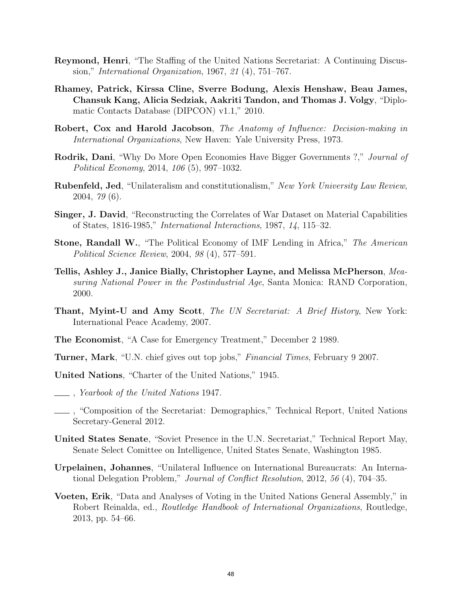- Reymond, Henri, "The Staffing of the United Nations Secretariat: A Continuing Discussion," International Organization, 1967, 21 (4), 751–767.
- Rhamey, Patrick, Kirssa Cline, Sverre Bodung, Alexis Henshaw, Beau James, Chansuk Kang, Alicia Sedziak, Aakriti Tandon, and Thomas J. Volgy, "Diplomatic Contacts Database (DIPCON) v1.1," 2010.
- Robert, Cox and Harold Jacobson, The Anatomy of Influence: Decision-making in International Organizations, New Haven: Yale University Press, 1973.
- Rodrik, Dani, "Why Do More Open Economies Have Bigger Governments ?," Journal of Political Economy, 2014, 106 (5), 997–1032.
- Rubenfeld, Jed, "Unilateralism and constitutionalism," New York University Law Review, 2004, 79 (6).
- Singer, J. David, "Reconstructing the Correlates of War Dataset on Material Capabilities of States, 1816-1985," International Interactions, 1987, 14, 115–32.
- Stone, Randall W., "The Political Economy of IMF Lending in Africa," The American Political Science Review, 2004, 98 (4), 577–591.
- Tellis, Ashley J., Janice Bially, Christopher Layne, and Melissa McPherson, Measuring National Power in the Postindustrial Age, Santa Monica: RAND Corporation, 2000.
- **Thant, Myint-U and Amy Scott**, The UN Secretariat: A Brief History, New York: International Peace Academy, 2007.
- The Economist, "A Case for Emergency Treatment," December 2 1989.
- Turner, Mark, "U.N. chief gives out top jobs," Financial Times, February 9 2007.
- United Nations, "Charter of the United Nations," 1945.
- , Yearbook of the United Nations 1947.
- , "Composition of the Secretariat: Demographics," Technical Report, United Nations Secretary-General 2012.
- United States Senate, "Soviet Presence in the U.N. Secretariat," Technical Report May, Senate Select Comittee on Intelligence, United States Senate, Washington 1985.
- Urpelainen, Johannes, "Unilateral Influence on International Bureaucrats: An International Delegation Problem," Journal of Conflict Resolution, 2012, 56 (4), 704–35.
- Voeten, Erik, "Data and Analyses of Voting in the United Nations General Assembly," in Robert Reinalda, ed., Routledge Handbook of International Organizations, Routledge, 2013, pp. 54–66.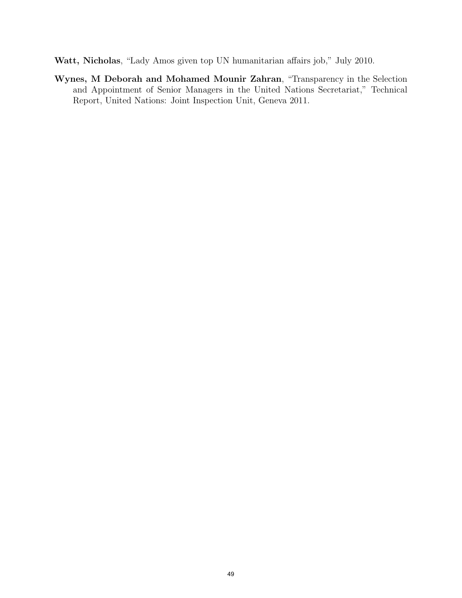Watt, Nicholas, "Lady Amos given top UN humanitarian affairs job," July 2010.

Wynes, M Deborah and Mohamed Mounir Zahran, "Transparency in the Selection and Appointment of Senior Managers in the United Nations Secretariat," Technical Report, United Nations: Joint Inspection Unit, Geneva 2011.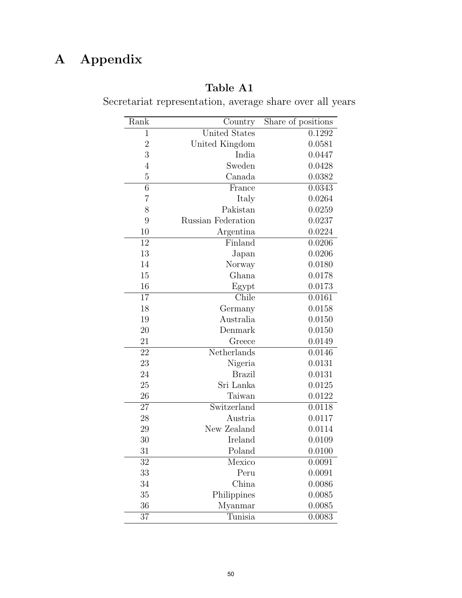## A Appendix

## Table A1

| Rank           | Country            | Share of positions |
|----------------|--------------------|--------------------|
| $\mathbf{1}$   | United States      | 0.1292             |
| $\overline{2}$ | United Kingdom     | 0.0581             |
| 3              | India              | 0.0447             |
| $\overline{4}$ | Sweden             | 0.0428             |
| $\overline{5}$ | Canada             | 0.0382             |
| 6              | France             | 0.0343             |
| $\overline{7}$ | Italy              | 0.0264             |
| 8              | Pakistan           | 0.0259             |
| 9              | Russian Federation | 0.0237             |
| 10             | Argentina          | 0.0224             |
| 12             | Finland            | 0.0206             |
| 13             | Japan              | 0.0206             |
| 14             | Norway             | 0.0180             |
| 15             | Ghana              | 0.0178             |
| 16             | Egypt              | 0.0173             |
| 17             | Chile              | 0.0161             |
| 18             | Germany            | 0.0158             |
| 19             | Australia          | 0.0150             |
| 20             | Denmark            | 0.0150             |
| 21             | Greece             | 0.0149             |
| 22             | Netherlands        | 0.0146             |
| 23             | Nigeria            | 0.0131             |
| 24             | <b>Brazil</b>      | 0.0131             |
| 25             | Sri Lanka          | 0.0125             |
| 26             | Taiwan             | 0.0122             |
| 27             | Switzerland        | 0.0118             |
| 28             | Austria            | 0.0117             |
| 29             | New Zealand        | 0.0114             |
| 30             | Ireland            | 0.0109             |
| 31             | Poland             | 0.0100             |
| 32             | Mexico             | 0.0091             |
| 33             | Peru               | 0.0091             |
| 34             | China              | 0.0086             |
| 35             | Philippines        | 0.0085             |
| 36             | Myanmar            | 0.0085             |
| 37             | Tunisia            | 0.0083             |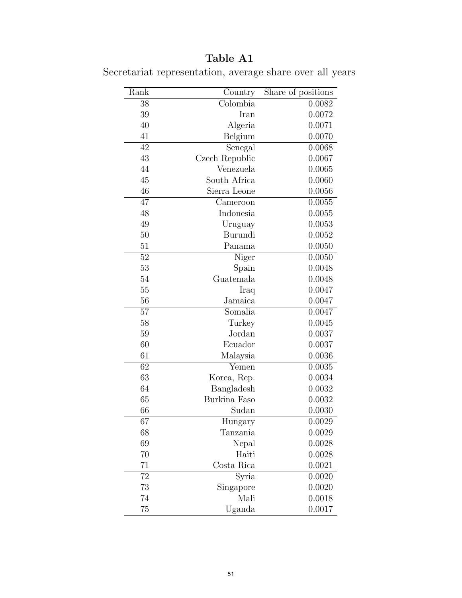## Table A1

| Rank            | Country        | Share of positions |
|-----------------|----------------|--------------------|
| 38              | Colombia       | 0.0082             |
| 39              | Iran           | 0.0072             |
| 40              | Algeria        | 0.0071             |
| 41              | Belgium        | 0.0070             |
| 42              | Senegal        | 0.0068             |
| 43              | Czech Republic | 0.0067             |
| 44              | Venezuela      | 0.0065             |
| 45              | South Africa   | 0.0060             |
| 46              | Sierra Leone   | 0.0056             |
| 47              | Cameroon       | 0.0055             |
| 48              | Indonesia      | 0.0055             |
| 49              | Uruguay        | 0.0053             |
| 50              | Burundi        | 0.0052             |
| 51              | Panama         | 0.0050             |
| $\overline{52}$ | Niger          | 0.0050             |
| 53              | Spain          | 0.0048             |
| 54              | Guatemala      | 0.0048             |
| 55              | Iraq           | 0.0047             |
| 56              | Jamaica        | 0.0047             |
| $\overline{57}$ | Somalia        | 0.0047             |
| 58              | Turkey         | 0.0045             |
| 59              | Jordan         | 0.0037             |
| 60              | Ecuador        | 0.0037             |
| 61              | Malaysia       | 0.0036             |
| 62              | Yemen          | 0.0035             |
| 63              | Korea, Rep.    | 0.0034             |
| 64              | Bangladesh     | 0.0032             |
| 65              | Burkina Faso   | 0.0032             |
| 66              | Sudan          | 0.0030             |
| 67              | Hungary        | 0.0029             |
| 68              | Tanzania       | 0.0029             |
| 69              | Nepal          | 0.0028             |
| 70              | Haiti          | 0.0028             |
| 71              | Costa Rica     | 0.0021             |
| 72              | Syria          | 0.0020             |
| 73              | Singapore      | 0.0020             |
| 74              | Mali           | 0.0018             |
| 75              | Uganda         | 0.0017             |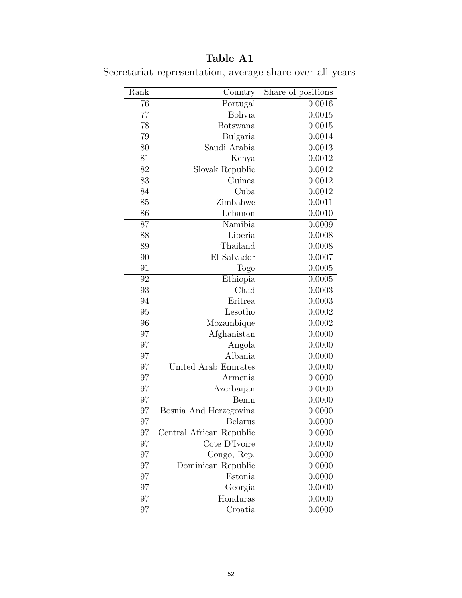## Table A1

| Rank | Country                  | Share of positions |
|------|--------------------------|--------------------|
| 76   | Portugal                 | 0.0016             |
| 77   | Bolivia                  | 0.0015             |
| 78   | <b>Botswana</b>          | 0.0015             |
| 79   | Bulgaria                 | 0.0014             |
| 80   | Saudi Arabia             | 0.0013             |
| 81   | Kenya                    | 0.0012             |
| 82   | Slovak Republic          | 0.0012             |
| 83   | Guinea                   | 0.0012             |
| 84   | Cuba                     | 0.0012             |
| 85   | Zimbabwe                 | 0.0011             |
| 86   | Lebanon                  | 0.0010             |
| 87   | Namibia                  | 0.0009             |
| 88   | Liberia                  | 0.0008             |
| 89   | Thailand                 | 0.0008             |
| 90   | El Salvador              | 0.0007             |
| 91   | Togo                     | 0.0005             |
| 92   | Ethiopia                 | 0.0005             |
| 93   | Chad                     | 0.0003             |
| 94   | Eritrea                  | 0.0003             |
| 95   | Lesotho                  | 0.0002             |
| 96   | Mozambique               | 0.0002             |
| 97   | Afghanistan              | 0.0000             |
| 97   | Angola                   | 0.0000             |
| 97   | Albania                  | 0.0000             |
| 97   | United Arab Emirates     | 0.0000             |
| 97   | Armenia                  | 0.0000             |
| 97   | Azerbaijan               | 0.0000             |
| 97   | Benin                    | 0.0000             |
| 97   | Bosnia And Herzegovina   | 0.0000             |
| 97   | <b>Belarus</b>           | 0.0000             |
| 97   | Central African Republic | 0.0000             |
| 97   | Cote D'Ivoire            | 0.0000             |
| 97   | Congo, Rep.              | 0.0000             |
| 97   | Dominican Republic       | 0.0000             |
| 97   | Estonia                  | 0.0000             |
| 97   | Georgia                  | 0.0000             |
| 97   | Honduras                 | 0.0000             |
| 97   | Croatia                  | 0.0000             |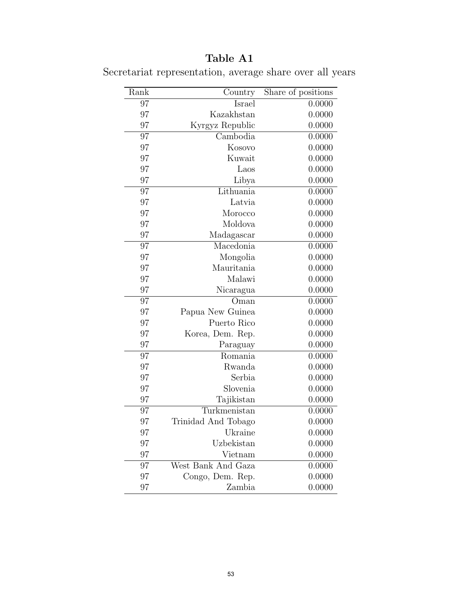## Table A1

| Rank | Country             | Share of positions |
|------|---------------------|--------------------|
| 97   | Israel              | 0.0000             |
| 97   | Kazakhstan          | 0.0000             |
| 97   | Kyrgyz Republic     | 0.0000             |
| 97   | Cambodia            | 0.0000             |
| 97   | Kosovo              | 0.0000             |
| 97   | Kuwait              | 0.0000             |
| 97   | Laos                | 0.0000             |
| 97   | Libya               | 0.0000             |
| 97   | Lithuania           | 0.0000             |
| 97   | Latvia              | 0.0000             |
| 97   | Morocco             | 0.0000             |
| 97   | Moldova             | 0.0000             |
| 97   | Madagascar          | 0.0000             |
| 97   | Macedonia           | 0.0000             |
| 97   | Mongolia            | 0.0000             |
| 97   | Mauritania          | 0.0000             |
| 97   | Malawi              | 0.0000             |
| 97   | Nicaragua           | 0.0000             |
| 97   | Oman                | 0.0000             |
| 97   | Papua New Guinea    | 0.0000             |
| 97   | Puerto Rico         | 0.0000             |
| 97   | Korea, Dem. Rep.    | 0.0000             |
| 97   | Paraguay            | 0.0000             |
| 97   | Romania             | 0.0000             |
| 97   | Rwanda              | 0.0000             |
| 97   | Serbia              | 0.0000             |
| 97   | Slovenia            | 0.0000             |
| 97   | Tajikistan          | 0.0000             |
| 97   | Turkmenistan        | 0.0000             |
| 97   | Trinidad And Tobago | 0.0000             |
| 97   | Ukraine             | 0.0000             |
| 97   | Uzbekistan          | 0.0000             |
| 97   | Vietnam             | 0.0000             |
| 97   | West Bank And Gaza  | 0.0000             |
| 97   | Congo, Dem. Rep.    | 0.0000             |
| 97   | Zambia              | 0.0000             |